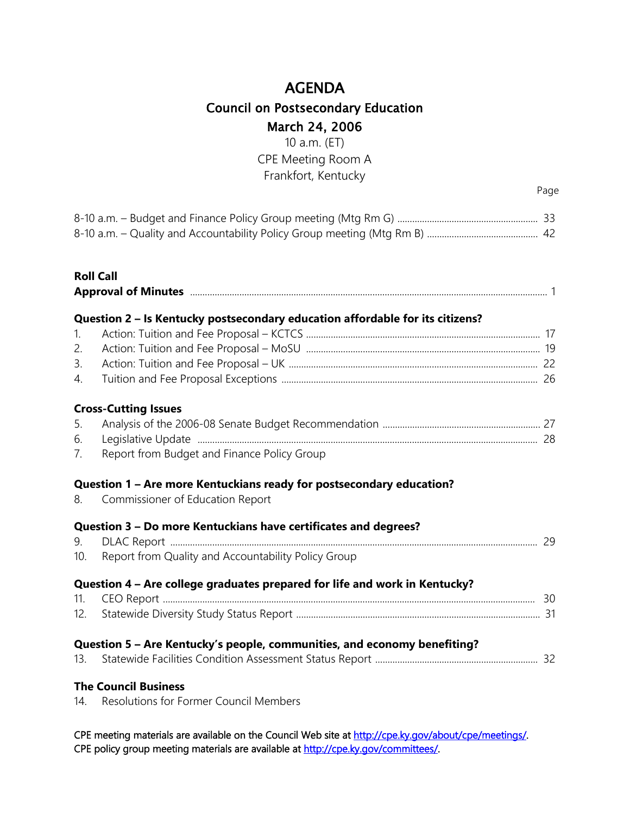10 a.m. (ET) CPE Meeting Room A Frankfort, Kentucky

Page

#### **Roll Call**

|                | Question 2 - Is Kentucky postsecondary education affordable for its citizens?                            |  |
|----------------|----------------------------------------------------------------------------------------------------------|--|
| $\mathbf{1}$ . |                                                                                                          |  |
| 2.             |                                                                                                          |  |
| 3.             |                                                                                                          |  |
| 4.             |                                                                                                          |  |
|                | <b>Cross-Cutting Issues</b>                                                                              |  |
| 5.<br>6.       |                                                                                                          |  |
| 7.             | Report from Budget and Finance Policy Group                                                              |  |
| 8.             | Question 1 - Are more Kentuckians ready for postsecondary education?<br>Commissioner of Education Report |  |
| 9.             | Question 3 - Do more Kentuckians have certificates and degrees?                                          |  |
| 10.            | Report from Quality and Accountability Policy Group                                                      |  |
|                | Question 4 - Are college graduates prepared for life and work in Kentucky?                               |  |
| 11.            |                                                                                                          |  |
| 12.            |                                                                                                          |  |
|                | Question 5 - Are Kentucky's people, communities, and economy benefiting?                                 |  |
| 13.            |                                                                                                          |  |
|                | <b>The Council Business</b>                                                                              |  |

14. Resolutions for Former Council Members

CPE meeting materials are available on the Council Web site at http://cpe.ky.gov/about/cpe/meetings/. CPE policy group meeting materials are available at [http://cpe.ky.gov/committees/.](http://cpe.ky.gov/committees/)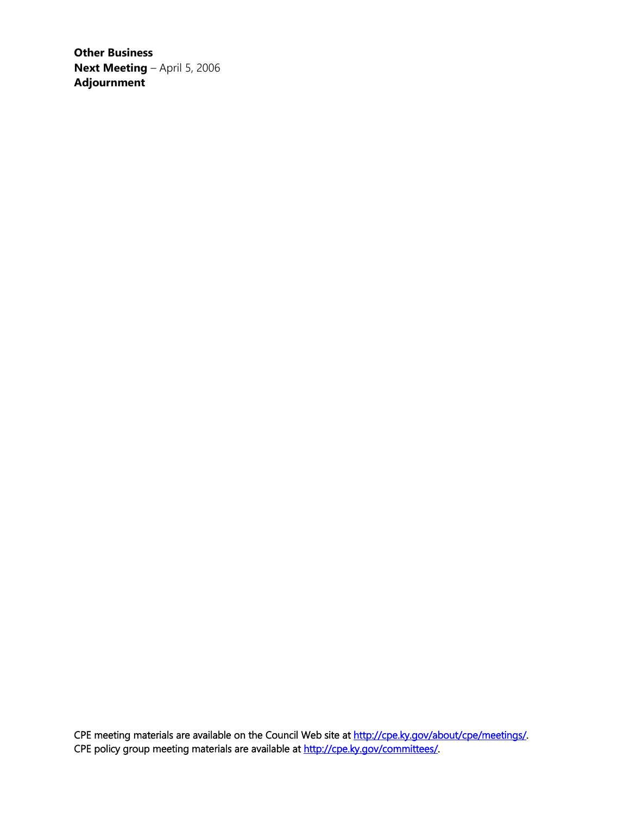**Other Business Next Meeting** – April 5, 2006 **Adjournment**

CPE meeting materials are available on the Council Web site at http://cpe.ky.gov/about/cpe/meetings/. CPE policy group meeting materials are available at [http://cpe.ky.gov/committees/.](http://cpe.ky.gov/committees/)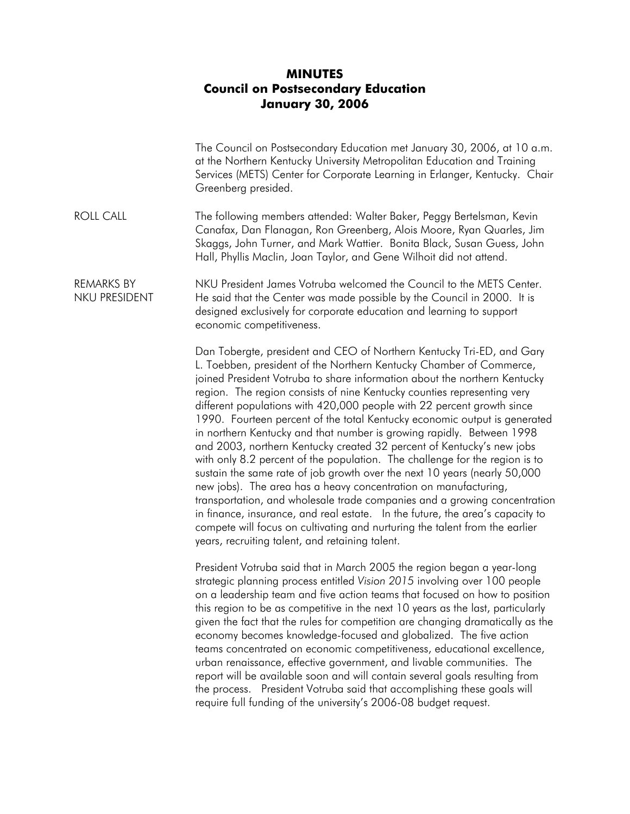#### **MINUTES Council on Postsecondary Education January 30, 2006**

|                                    | The Council on Postsecondary Education met January 30, 2006, at 10 a.m.<br>at the Northern Kentucky University Metropolitan Education and Training<br>Services (METS) Center for Corporate Learning in Erlanger, Kentucky. Chair<br>Greenberg presided.                                                                                                                                                                                                                                                                                                                                                                                                                                                                                                                                                                                                                                                                                                                                                                                                                                                                                      |
|------------------------------------|----------------------------------------------------------------------------------------------------------------------------------------------------------------------------------------------------------------------------------------------------------------------------------------------------------------------------------------------------------------------------------------------------------------------------------------------------------------------------------------------------------------------------------------------------------------------------------------------------------------------------------------------------------------------------------------------------------------------------------------------------------------------------------------------------------------------------------------------------------------------------------------------------------------------------------------------------------------------------------------------------------------------------------------------------------------------------------------------------------------------------------------------|
| <b>ROLL CALL</b>                   | The following members attended: Walter Baker, Peggy Bertelsman, Kevin<br>Canafax, Dan Flanagan, Ron Greenberg, Alois Moore, Ryan Quarles, Jim<br>Skaggs, John Turner, and Mark Wattier. Bonita Black, Susan Guess, John<br>Hall, Phyllis Maclin, Joan Taylor, and Gene Wilhoit did not attend.                                                                                                                                                                                                                                                                                                                                                                                                                                                                                                                                                                                                                                                                                                                                                                                                                                               |
| <b>REMARKS BY</b><br>NKU PRESIDENT | NKU President James Votruba welcomed the Council to the METS Center.<br>He said that the Center was made possible by the Council in 2000. It is<br>designed exclusively for corporate education and learning to support<br>economic competitiveness.                                                                                                                                                                                                                                                                                                                                                                                                                                                                                                                                                                                                                                                                                                                                                                                                                                                                                         |
|                                    | Dan Tobergte, president and CEO of Northern Kentucky Tri-ED, and Gary<br>L. Toebben, president of the Northern Kentucky Chamber of Commerce,<br>joined President Votruba to share information about the northern Kentucky<br>region. The region consists of nine Kentucky counties representing very<br>different populations with 420,000 people with 22 percent growth since<br>1990. Fourteen percent of the total Kentucky economic output is generated<br>in northern Kentucky and that number is growing rapidly. Between 1998<br>and 2003, northern Kentucky created 32 percent of Kentucky's new jobs<br>with only 8.2 percent of the population. The challenge for the region is to<br>sustain the same rate of job growth over the next 10 years (nearly 50,000<br>new jobs). The area has a heavy concentration on manufacturing,<br>transportation, and wholesale trade companies and a growing concentration<br>in finance, insurance, and real estate. In the future, the area's capacity to<br>compete will focus on cultivating and nurturing the talent from the earlier<br>years, recruiting talent, and retaining talent. |
|                                    | President Votruba said that in March 2005 the region began a year-long<br>strategic planning process entitled Vision 2015 involving over 100 people<br>on a leadership team and five action teams that focused on how to position<br>this region to be as competitive in the next 10 years as the last, particularly<br>given the fact that the rules for competition are changing dramatically as the<br>economy becomes knowledge-focused and globalized. The five action<br>teams concentrated on economic competitiveness, educational excellence,<br>urban renaissance, effective government, and livable communities. The<br>report will be available soon and will contain several goals resulting from<br>the process. President Votruba said that accomplishing these goals will                                                                                                                                                                                                                                                                                                                                                    |

require full funding of the university's 2006-08 budget request.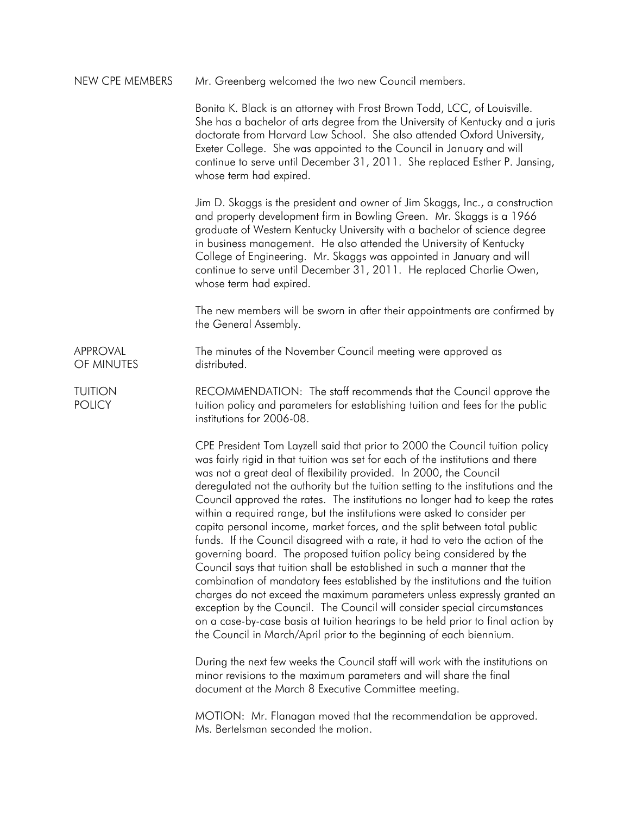| Mr. Greenberg welcomed the two new Council members. | NEW CPE MEMBERS |  |  |  |
|-----------------------------------------------------|-----------------|--|--|--|
|-----------------------------------------------------|-----------------|--|--|--|

Bonita K. Black is an attorney with Frost Brown Todd, LCC, of Louisville. She has a bachelor of arts degree from the University of Kentucky and a juris doctorate from Harvard Law School. She also attended Oxford University, Exeter College. She was appointed to the Council in January and will continue to serve until December 31, 2011. She replaced Esther P. Jansing, whose term had expired.

Jim D. Skaggs is the president and owner of Jim Skaggs, Inc., a construction and property development firm in Bowling Green. Mr. Skaggs is a 1966 graduate of Western Kentucky University with a bachelor of science degree in business management. He also attended the University of Kentucky College of Engineering. Mr. Skaggs was appointed in January and will continue to serve until December 31, 2011. He replaced Charlie Owen, whose term had expired.

The new members will be sworn in after their appointments are confirmed by the General Assembly.

APPROVAL OF MINUTES The minutes of the November Council meeting were approved as distributed.

TUITION **POLICY** RECOMMENDATION: The staff recommends that the Council approve the tuition policy and parameters for establishing tuition and fees for the public institutions for 2006-08.

> CPE President Tom Layzell said that prior to 2000 the Council tuition policy was fairly rigid in that tuition was set for each of the institutions and there was not a great deal of flexibility provided. In 2000, the Council deregulated not the authority but the tuition setting to the institutions and the Council approved the rates. The institutions no longer had to keep the rates within a required range, but the institutions were asked to consider per capita personal income, market forces, and the split between total public funds. If the Council disagreed with a rate, it had to veto the action of the governing board. The proposed tuition policy being considered by the Council says that tuition shall be established in such a manner that the combination of mandatory fees established by the institutions and the tuition charges do not exceed the maximum parameters unless expressly granted an exception by the Council. The Council will consider special circumstances on a case-by-case basis at tuition hearings to be held prior to final action by the Council in March/April prior to the beginning of each biennium.

During the next few weeks the Council staff will work with the institutions on minor revisions to the maximum parameters and will share the final document at the March 8 Executive Committee meeting.

MOTION: Mr. Flanagan moved that the recommendation be approved. Ms. Bertelsman seconded the motion.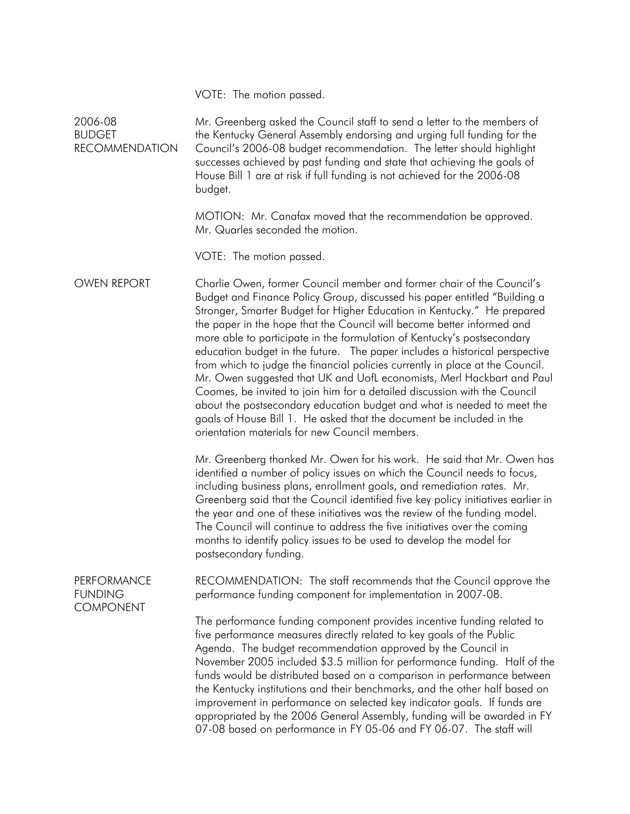VOTE: The motion passed.

2006-08 BUDGET RECOMMENDATION Mr. Greenberg asked the Council staff to send a letter to the members of the Kentucky General Assembly endorsing and urging full funding for the Council's 2006-08 budget recommendation. The letter should highlight successes achieved by past funding and state that achieving the goals of House Bill 1 are at risk if full funding is not achieved for the 2006-08 budget. MOTION: Mr. Canafax moved that the recommendation be approved. Mr. Quarles seconded the motion. VOTE: The motion passed. OWEN REPORT Charlie Owen, former Council member and former chair of the Council's Budget and Finance Policy Group, discussed his paper entitled "Building a Stronger, Smarter Budget for Higher Education in Kentucky." He prepared the paper in the hope that the Council will become better informed and more able to participate in the formulation of Kentucky's postsecondary education budget in the future. The paper includes a historical perspective from which to judge the financial policies currently in place at the Council. Mr. Owen suggested that UK and UofL economists, Merl Hackbart and Paul Coomes, be invited to join him for a detailed discussion with the Council about the postsecondary education budget and what is needed to meet the goals of House Bill 1. He asked that the document be included in the orientation materials for new Council members. Mr. Greenberg thanked Mr. Owen for his work. He said that Mr. Owen has identified a number of policy issues on which the Council needs to focus, including business plans, enrollment goals, and remediation rates. Mr. Greenberg said that the Council identified five key policy initiatives earlier in the year and one of these initiatives was the review of the funding model. The Council will continue to address the five initiatives over the coming months to identify policy issues to be used to develop the model for postsecondary funding. **PERFORMANCE** FUNDING **COMPONENT** RECOMMENDATION: The staff recommends that the Council approve the performance funding component for implementation in 2007-08. The performance funding component provides incentive funding related to five performance measures directly related to key goals of the Public Agenda. The budget recommendation approved by the Council in November 2005 included \$3.5 million for performance funding. Half of the funds would be distributed based on a comparison in performance between the Kentucky institutions and their benchmarks, and the other half based on improvement in performance on selected key indicator goals. If funds are appropriated by the 2006 General Assembly, funding will be awarded in FY 07-08 based on performance in FY 05-06 and FY 06-07. The staff will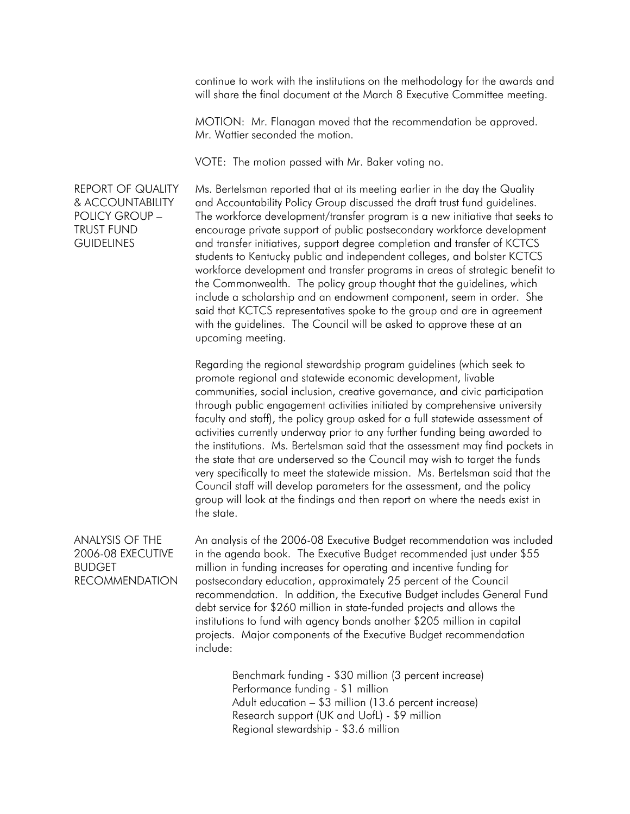continue to work with the institutions on the methodology for the awards and will share the final document at the March 8 Executive Committee meeting.

MOTION: Mr. Flanagan moved that the recommendation be approved. Mr. Wattier seconded the motion.

VOTE: The motion passed with Mr. Baker voting no.

REPORT OF QUALITY & ACCOUNTABILITY POLICY GROUP – TRUST FUND **GUIDELINES** 

Ms. Bertelsman reported that at its meeting earlier in the day the Quality and Accountability Policy Group discussed the draft trust fund guidelines. The workforce development/transfer program is a new initiative that seeks to encourage private support of public postsecondary workforce development and transfer initiatives, support degree completion and transfer of KCTCS students to Kentucky public and independent colleges, and bolster KCTCS workforce development and transfer programs in areas of strategic benefit to the Commonwealth. The policy group thought that the guidelines, which include a scholarship and an endowment component, seem in order. She said that KCTCS representatives spoke to the group and are in agreement with the guidelines. The Council will be asked to approve these at an upcoming meeting.

Regarding the regional stewardship program guidelines (which seek to promote regional and statewide economic development, livable communities, social inclusion, creative governance, and civic participation through public engagement activities initiated by comprehensive university faculty and staff), the policy group asked for a full statewide assessment of activities currently underway prior to any further funding being awarded to the institutions. Ms. Bertelsman said that the assessment may find pockets in the state that are underserved so the Council may wish to target the funds very specifically to meet the statewide mission. Ms. Bertelsman said that the Council staff will develop parameters for the assessment, and the policy group will look at the findings and then report on where the needs exist in the state.

ANALYSIS OF THE 2006-08 EXECUTIVE **BUDGET** RECOMMENDATION An analysis of the 2006-08 Executive Budget recommendation was included in the agenda book. The Executive Budget recommended just under \$55 million in funding increases for operating and incentive funding for postsecondary education, approximately 25 percent of the Council recommendation. In addition, the Executive Budget includes General Fund debt service for \$260 million in state-funded projects and allows the institutions to fund with agency bonds another \$205 million in capital projects. Major components of the Executive Budget recommendation include:

> Benchmark funding - \$30 million (3 percent increase) Performance funding - \$1 million Adult education – \$3 million (13.6 percent increase) Research support (UK and UofL) - \$9 million Regional stewardship - \$3.6 million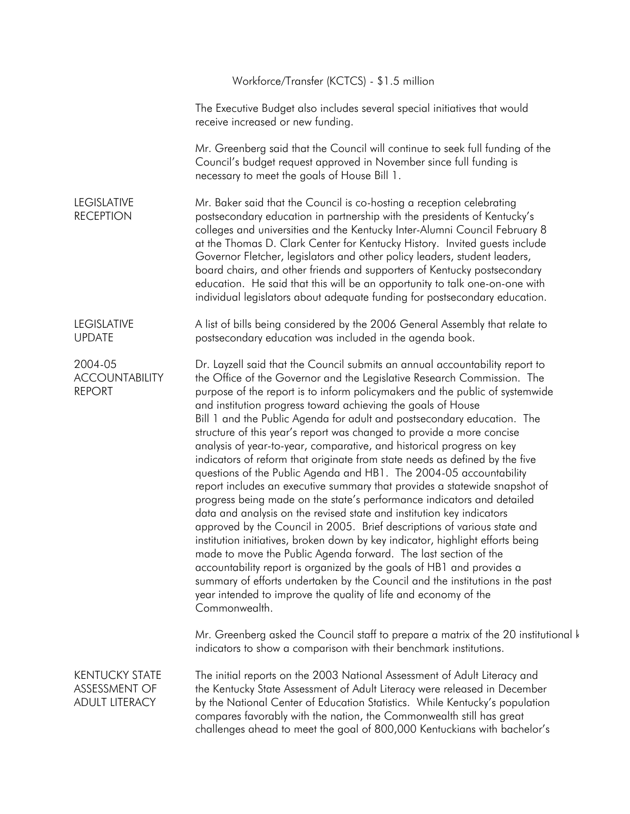|                                                                 | Workforce/Transfer (KCTCS) - \$1.5 million                                                                                                                                                                                                                                                                                                                                                                                                                                                                                                                                                                                                                                                                                                                                                                                                                                                                                                                                                                                                                                                                                                                                                                                                                                                                                                                                                                |
|-----------------------------------------------------------------|-----------------------------------------------------------------------------------------------------------------------------------------------------------------------------------------------------------------------------------------------------------------------------------------------------------------------------------------------------------------------------------------------------------------------------------------------------------------------------------------------------------------------------------------------------------------------------------------------------------------------------------------------------------------------------------------------------------------------------------------------------------------------------------------------------------------------------------------------------------------------------------------------------------------------------------------------------------------------------------------------------------------------------------------------------------------------------------------------------------------------------------------------------------------------------------------------------------------------------------------------------------------------------------------------------------------------------------------------------------------------------------------------------------|
|                                                                 | The Executive Budget also includes several special initiatives that would<br>receive increased or new funding.                                                                                                                                                                                                                                                                                                                                                                                                                                                                                                                                                                                                                                                                                                                                                                                                                                                                                                                                                                                                                                                                                                                                                                                                                                                                                            |
|                                                                 | Mr. Greenberg said that the Council will continue to seek full funding of the<br>Council's budget request approved in November since full funding is<br>necessary to meet the goals of House Bill 1.                                                                                                                                                                                                                                                                                                                                                                                                                                                                                                                                                                                                                                                                                                                                                                                                                                                                                                                                                                                                                                                                                                                                                                                                      |
| <b>LEGISLATIVE</b><br><b>RECEPTION</b>                          | Mr. Baker said that the Council is co-hosting a reception celebrating<br>postsecondary education in partnership with the presidents of Kentucky's<br>colleges and universities and the Kentucky Inter-Alumni Council February 8<br>at the Thomas D. Clark Center for Kentucky History. Invited guests include<br>Governor Fletcher, legislators and other policy leaders, student leaders,<br>board chairs, and other friends and supporters of Kentucky postsecondary<br>education. He said that this will be an opportunity to talk one-on-one with<br>individual legislators about adequate funding for postsecondary education.                                                                                                                                                                                                                                                                                                                                                                                                                                                                                                                                                                                                                                                                                                                                                                       |
| <b>LEGISLATIVE</b><br><b>UPDATE</b>                             | A list of bills being considered by the 2006 General Assembly that relate to<br>postsecondary education was included in the agenda book.                                                                                                                                                                                                                                                                                                                                                                                                                                                                                                                                                                                                                                                                                                                                                                                                                                                                                                                                                                                                                                                                                                                                                                                                                                                                  |
| 2004-05<br><b>ACCOUNTABILITY</b><br><b>REPORT</b>               | Dr. Layzell said that the Council submits an annual accountability report to<br>the Office of the Governor and the Legislative Research Commission. The<br>purpose of the report is to inform policymakers and the public of systemwide<br>and institution progress toward achieving the goals of House<br>Bill 1 and the Public Agenda for adult and postsecondary education. The<br>structure of this year's report was changed to provide a more concise<br>analysis of year-to-year, comparative, and historical progress on key<br>indicators of reform that originate from state needs as defined by the five<br>questions of the Public Agenda and HB1. The 2004-05 accountability<br>report includes an executive summary that provides a statewide snapshot of<br>progress being made on the state's performance indicators and detailed<br>data and analysis on the revised state and institution key indicators<br>approved by the Council in 2005. Brief descriptions of various state and<br>institution initiatives, broken down by key indicator, highlight efforts being<br>made to move the Public Agenda forward. The last section of the<br>accountability report is organized by the goals of HB1 and provides a<br>summary of efforts undertaken by the Council and the institutions in the past<br>year intended to improve the quality of life and economy of the<br>Commonwealth. |
|                                                                 | Mr. Greenberg asked the Council staff to prepare a matrix of the 20 institutional k<br>indicators to show a comparison with their benchmark institutions.                                                                                                                                                                                                                                                                                                                                                                                                                                                                                                                                                                                                                                                                                                                                                                                                                                                                                                                                                                                                                                                                                                                                                                                                                                                 |
| <b>KENTUCKY STATE</b><br>ASSESSMENT OF<br><b>ADULT LITERACY</b> | The initial reports on the 2003 National Assessment of Adult Literacy and<br>the Kentucky State Assessment of Adult Literacy were released in December<br>by the National Center of Education Statistics. While Kentucky's population<br>compares favorably with the nation, the Commonwealth still has great<br>challenges ahead to meet the goal of 800,000 Kentuckians with bachelor's                                                                                                                                                                                                                                                                                                                                                                                                                                                                                                                                                                                                                                                                                                                                                                                                                                                                                                                                                                                                                 |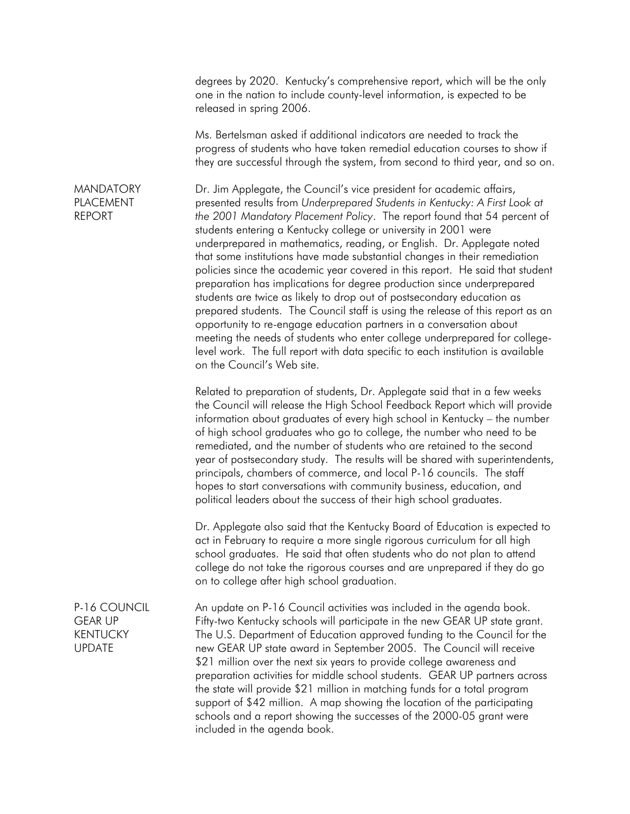degrees by 2020. Kentucky's comprehensive report, which will be the only one in the nation to include county-level information, is expected to be released in spring 2006.

Ms. Bertelsman asked if additional indicators are needed to track the progress of students who have taken remedial education courses to show if they are successful through the system, from second to third year, and so on.

#### **MANDATORY** PLACEMENT REPORT

Dr. Jim Applegate, the Council's vice president for academic affairs, presented results from *Underprepared Students in Kentucky: A First Look at the 2001 Mandatory Placement Policy*. The report found that 54 percent of students entering a Kentucky college or university in 2001 were underprepared in mathematics, reading, or English. Dr. Applegate noted that some institutions have made substantial changes in their remediation policies since the academic year covered in this report. He said that student preparation has implications for degree production since underprepared students are twice as likely to drop out of postsecondary education as prepared students. The Council staff is using the release of this report as an opportunity to re-engage education partners in a conversation about meeting the needs of students who enter college underprepared for collegelevel work. The full report with data specific to each institution is available on the Council's Web site.

Related to preparation of students, Dr. Applegate said that in a few weeks the Council will release the High School Feedback Report which will provide information about graduates of every high school in Kentucky – the number of high school graduates who go to college, the number who need to be remediated, and the number of students who are retained to the second year of postsecondary study. The results will be shared with superintendents, principals, chambers of commerce, and local P-16 councils. The staff hopes to start conversations with community business, education, and political leaders about the success of their high school graduates.

Dr. Applegate also said that the Kentucky Board of Education is expected to act in February to require a more single rigorous curriculum for all high school graduates. He said that often students who do not plan to attend college do not take the rigorous courses and are unprepared if they do go on to college after high school graduation.

P-16 COUNCIL An update on P-16 Council activities was included in the agenda book. GEAR UP KENTUCKY UPDATE Fifty-two Kentucky schools will participate in the new GEAR UP state grant. The U.S. Department of Education approved funding to the Council for the new GEAR UP state award in September 2005. The Council will receive \$21 million over the next six years to provide college awareness and preparation activities for middle school students. GEAR UP partners across the state will provide \$21 million in matching funds for a total program support of \$42 million. A map showing the location of the participating schools and a report showing the successes of the 2000-05 grant were included in the agenda book.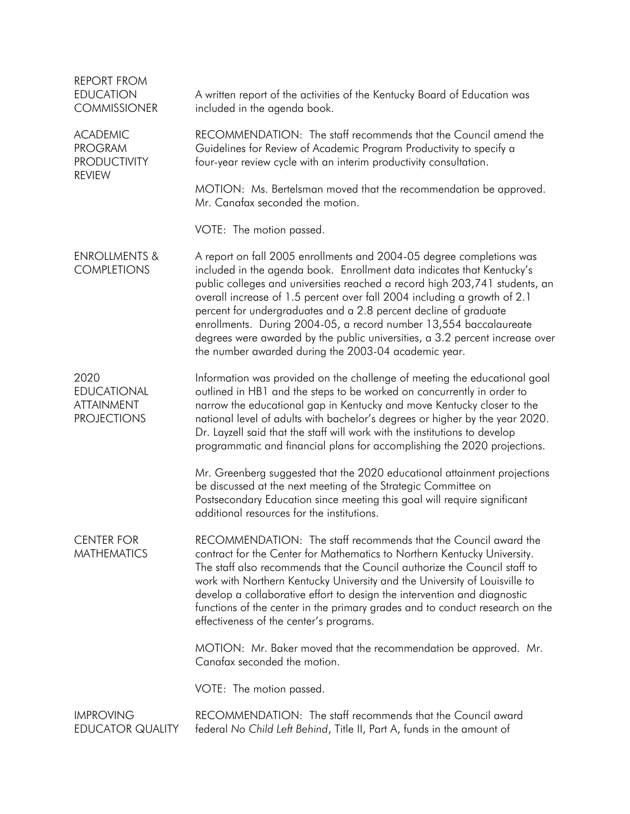| <b>REPORT FROM</b><br><b>EDUCATION</b><br><b>COMMISSIONER</b>             | A written report of the activities of the Kentucky Board of Education was<br>included in the agenda book.                                                                                                                                                                                                                                                                                                                                                                                                                                                                                  |  |  |  |  |
|---------------------------------------------------------------------------|--------------------------------------------------------------------------------------------------------------------------------------------------------------------------------------------------------------------------------------------------------------------------------------------------------------------------------------------------------------------------------------------------------------------------------------------------------------------------------------------------------------------------------------------------------------------------------------------|--|--|--|--|
| <b>ACADEMIC</b><br><b>PROGRAM</b><br><b>PRODUCTIVITY</b><br><b>REVIEW</b> | RECOMMENDATION: The staff recommends that the Council amend the<br>Guidelines for Review of Academic Program Productivity to specify a<br>four-year review cycle with an interim productivity consultation.                                                                                                                                                                                                                                                                                                                                                                                |  |  |  |  |
|                                                                           | MOTION: Ms. Bertelsman moved that the recommendation be approved.<br>Mr. Canafax seconded the motion.                                                                                                                                                                                                                                                                                                                                                                                                                                                                                      |  |  |  |  |
|                                                                           | VOTE: The motion passed.                                                                                                                                                                                                                                                                                                                                                                                                                                                                                                                                                                   |  |  |  |  |
| <b>ENROLLMENTS &amp;</b><br><b>COMPLETIONS</b>                            | A report on fall 2005 enrollments and 2004-05 degree completions was<br>included in the agenda book. Enrollment data indicates that Kentucky's<br>public colleges and universities reached a record high 203,741 students, an<br>overall increase of 1.5 percent over fall 2004 including a growth of 2.1<br>percent for undergraduates and a 2.8 percent decline of graduate<br>enrollments. During 2004-05, a record number 13,554 baccalaureate<br>degrees were awarded by the public universities, a 3.2 percent increase over<br>the number awarded during the 2003-04 academic year. |  |  |  |  |
| 2020<br><b>EDUCATIONAL</b><br><b>ATTAINMENT</b><br><b>PROJECTIONS</b>     | Information was provided on the challenge of meeting the educational goal<br>outlined in HB1 and the steps to be worked on concurrently in order to<br>narrow the educational gap in Kentucky and move Kentucky closer to the<br>national level of adults with bachelor's degrees or higher by the year 2020.<br>Dr. Layzell said that the staff will work with the institutions to develop<br>programmatic and financial plans for accomplishing the 2020 projections.                                                                                                                    |  |  |  |  |
|                                                                           | Mr. Greenberg suggested that the 2020 educational attainment projections<br>be discussed at the next meeting of the Strategic Committee on<br>Postsecondary Education since meeting this goal will require significant<br>additional resources for the institutions.                                                                                                                                                                                                                                                                                                                       |  |  |  |  |
| <b>CENTER FOR</b><br><b>MATHEMATICS</b>                                   | RECOMMENDATION: The staff recommends that the Council award the<br>contract for the Center for Mathematics to Northern Kentucky University.<br>The staff also recommends that the Council authorize the Council staff to<br>work with Northern Kentucky University and the University of Louisville to<br>develop a collaborative effort to design the intervention and diagnostic<br>functions of the center in the primary grades and to conduct research on the<br>effectiveness of the center's programs.                                                                              |  |  |  |  |
|                                                                           | MOTION: Mr. Baker moved that the recommendation be approved. Mr.<br>Canafax seconded the motion.                                                                                                                                                                                                                                                                                                                                                                                                                                                                                           |  |  |  |  |
|                                                                           | VOTE: The motion passed.                                                                                                                                                                                                                                                                                                                                                                                                                                                                                                                                                                   |  |  |  |  |
| <b>IMPROVING</b><br><b>EDUCATOR QUALITY</b>                               | RECOMMENDATION: The staff recommends that the Council award<br>federal No Child Left Behind, Title II, Part A, funds in the amount of                                                                                                                                                                                                                                                                                                                                                                                                                                                      |  |  |  |  |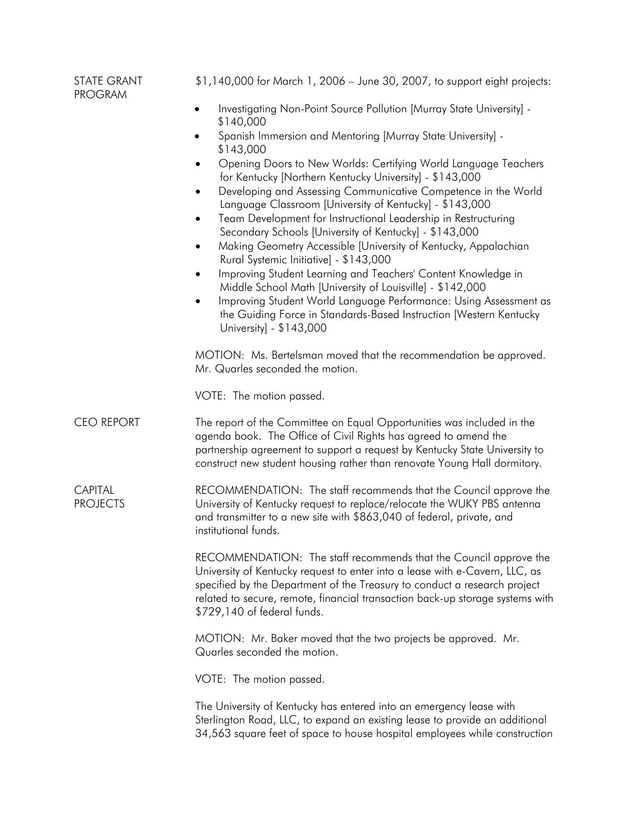| <b>STATE GRANT</b><br><b>PROGRAM</b> | \$1,140,000 for March 1, 2006 - June 30, 2007, to support eight projects:                                                                                                                                                                                                                                                                     |
|--------------------------------------|-----------------------------------------------------------------------------------------------------------------------------------------------------------------------------------------------------------------------------------------------------------------------------------------------------------------------------------------------|
|                                      | Investigating Non-Point Source Pollution [Murray State University] -<br>$\bullet$<br>\$140,000                                                                                                                                                                                                                                                |
|                                      | Spanish Immersion and Mentoring [Murray State University] -<br>\$143,000                                                                                                                                                                                                                                                                      |
|                                      | Opening Doors to New Worlds: Certifying World Language Teachers<br>for Kentucky [Northern Kentucky University] - \$143,000                                                                                                                                                                                                                    |
|                                      | Developing and Assessing Communicative Competence in the World<br>Language Classroom [University of Kentucky] - \$143,000                                                                                                                                                                                                                     |
|                                      | Team Development for Instructional Leadership in Restructuring<br>Secondary Schools [University of Kentucky] - \$143,000                                                                                                                                                                                                                      |
|                                      | Making Geometry Accessible [University of Kentucky, Appalachian<br>٠<br>Rural Systemic Initiative] - \$143,000                                                                                                                                                                                                                                |
|                                      | Improving Student Learning and Teachers' Content Knowledge in<br>٠<br>Middle School Math [University of Louisville] - \$142,000                                                                                                                                                                                                               |
|                                      | Improving Student World Language Performance: Using Assessment as<br>the Guiding Force in Standards-Based Instruction [Western Kentucky<br>University] - \$143,000                                                                                                                                                                            |
|                                      | MOTION: Ms. Bertelsman moved that the recommendation be approved.<br>Mr. Quarles seconded the motion.                                                                                                                                                                                                                                         |
|                                      | VOTE: The motion passed.                                                                                                                                                                                                                                                                                                                      |
| <b>CEO REPORT</b>                    | The report of the Committee on Equal Opportunities was included in the<br>agenda book. The Office of Civil Rights has agreed to amend the<br>partnership agreement to support a request by Kentucky State University to<br>construct new student housing rather than renovate Young Hall dormitory.                                           |
| <b>CAPITAL</b><br><b>PROJECTS</b>    | RECOMMENDATION: The staff recommends that the Council approve the<br>University of Kentucky request to replace/relocate the WUKY PBS antenna<br>and transmitter to a new site with \$863,040 of federal, private, and<br>institutional funds.                                                                                                 |
|                                      | RECOMMENDATION: The staff recommends that the Council approve the<br>University of Kentucky request to enter into a lease with e-Cavern, LLC, as<br>specified by the Department of the Treasury to conduct a research project<br>related to secure, remote, financial transaction back-up storage systems with<br>\$729,140 of federal funds. |
|                                      | MOTION: Mr. Baker moved that the two projects be approved. Mr.<br>Quarles seconded the motion.                                                                                                                                                                                                                                                |
|                                      | VOTE: The motion passed.                                                                                                                                                                                                                                                                                                                      |
|                                      | The University of Kentucky has entered into an emergency lease with<br>Sterlington Road, LLC, to expand an existing lease to provide an additional<br>34,563 square feet of space to house hospital employees while construction                                                                                                              |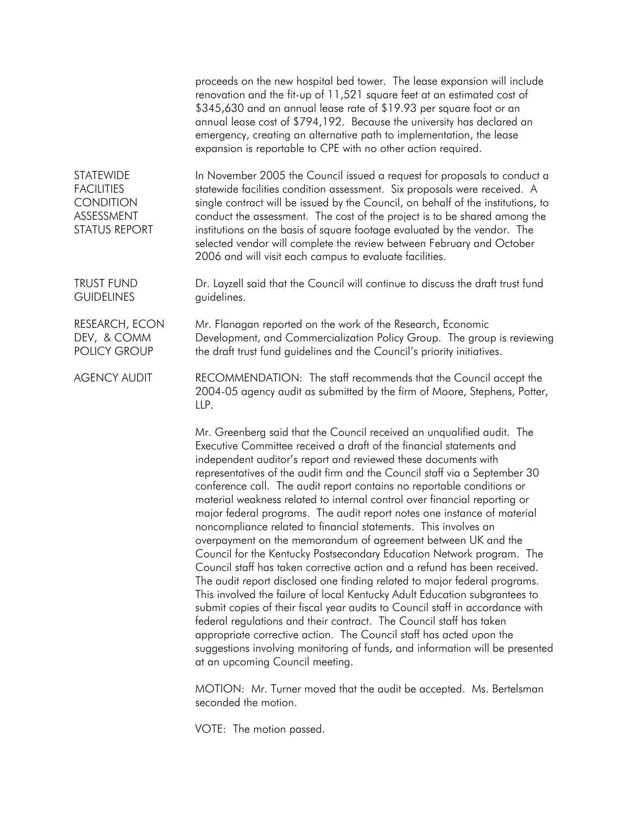proceeds on the new hospital bed tower. The lease expansion will include renovation and the fit-up of 11,521 square feet at an estimated cost of \$345,630 and an annual lease rate of \$19.93 per square foot or an annual lease cost of \$794,192. Because the university has declared an emergency, creating an alternative path to implementation, the lease expansion is reportable to CPE with no other action required.

**STATEWIDE FACILITIES CONDITION** ASSESSMENT STATUS REPORT In November 2005 the Council issued a request for proposals to conduct a statewide facilities condition assessment. Six proposals were received. A single contract will be issued by the Council, on behalf of the institutions, to conduct the assessment. The cost of the project is to be shared among the institutions on the basis of square footage evaluated by the vendor. The selected vendor will complete the review between February and October 2006 and will visit each campus to evaluate facilities.

TRUST FUND **GUIDELINES** Dr. Layzell said that the Council will continue to discuss the draft trust fund guidelines.

RESEARCH, ECON DEV, & COMM POLICY GROUP Mr. Flanagan reported on the work of the Research, Economic Development, and Commercialization Policy Group. The group is reviewing the draft trust fund guidelines and the Council's priority initiatives.

AGENCY AUDIT RECOMMENDATION: The staff recommends that the Council accept the 2004-05 agency audit as submitted by the firm of Moore, Stephens, Potter, LLP.

> Mr. Greenberg said that the Council received an unqualified audit. The Executive Committee received a draft of the financial statements and independent auditor's report and reviewed these documents with representatives of the audit firm and the Council staff via a September 30 conference call. The audit report contains no reportable conditions or material weakness related to internal control over financial reporting or major federal programs. The audit report notes one instance of material noncompliance related to financial statements. This involves an overpayment on the memorandum of agreement between UK and the Council for the Kentucky Postsecondary Education Network program. The Council staff has taken corrective action and a refund has been received. The audit report disclosed one finding related to major federal programs. This involved the failure of local Kentucky Adult Education subgrantees to submit copies of their fiscal year audits to Council staff in accordance with federal regulations and their contract. The Council staff has taken appropriate corrective action. The Council staff has acted upon the suggestions involving monitoring of funds, and information will be presented at an upcoming Council meeting.

MOTION: Mr. Turner moved that the audit be accepted. Ms. Bertelsman seconded the motion.

VOTE: The motion passed.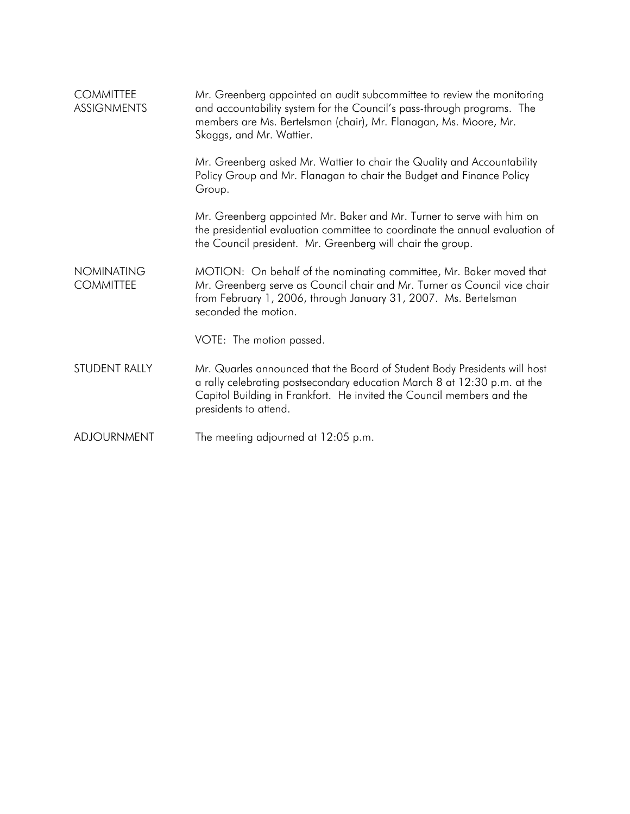| <b>COMMITTEE</b><br><b>ASSIGNMENTS</b> | Mr. Greenberg appointed an audit subcommittee to review the monitoring<br>and accountability system for the Council's pass-through programs. The<br>members are Ms. Bertelsman (chair), Mr. Flanagan, Ms. Moore, Mr.<br>Skaggs, and Mr. Wattier.        |  |  |  |
|----------------------------------------|---------------------------------------------------------------------------------------------------------------------------------------------------------------------------------------------------------------------------------------------------------|--|--|--|
|                                        | Mr. Greenberg asked Mr. Wattier to chair the Quality and Accountability<br>Policy Group and Mr. Flanagan to chair the Budget and Finance Policy<br>Group.                                                                                               |  |  |  |
|                                        | Mr. Greenberg appointed Mr. Baker and Mr. Turner to serve with him on<br>the presidential evaluation committee to coordinate the annual evaluation of<br>the Council president. Mr. Greenberg will chair the group.                                     |  |  |  |
| <b>NOMINATING</b><br><b>COMMITTEE</b>  | MOTION: On behalf of the nominating committee, Mr. Baker moved that<br>Mr. Greenberg serve as Council chair and Mr. Turner as Council vice chair<br>from February 1, 2006, through January 31, 2007. Ms. Bertelsman<br>seconded the motion.             |  |  |  |
|                                        | VOTE: The motion passed.                                                                                                                                                                                                                                |  |  |  |
| STUDENT RALLY                          | Mr. Quarles announced that the Board of Student Body Presidents will host<br>a rally celebrating postsecondary education March 8 at 12:30 p.m. at the<br>Capitol Building in Frankfort. He invited the Council members and the<br>presidents to attend. |  |  |  |
| <b>ADJOURNMENT</b>                     | The meeting adjourned at 12:05 p.m.                                                                                                                                                                                                                     |  |  |  |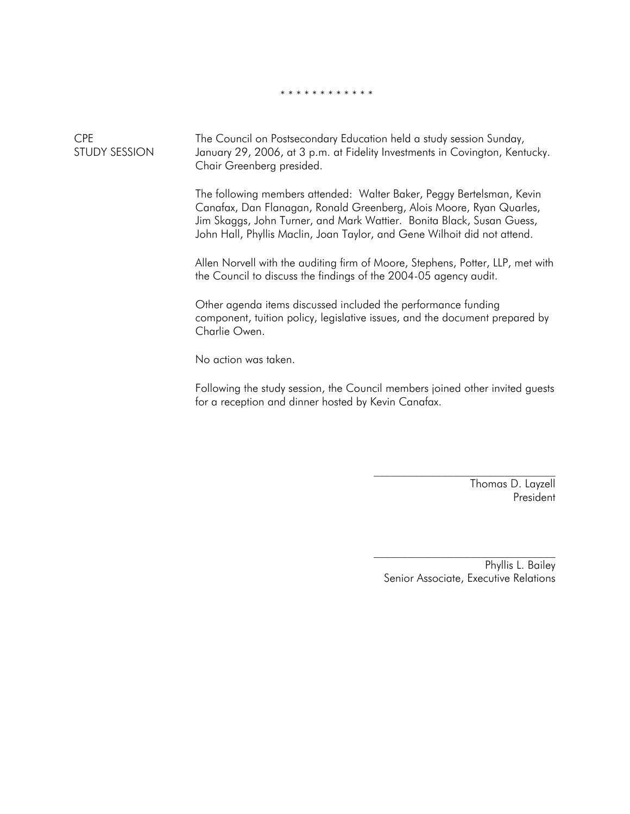#### \* \* \* \* \* \* \* \* \* \* \* \*

CPE STUDY SESSION The Council on Postsecondary Education held a study session Sunday, January 29, 2006, at 3 p.m. at Fidelity Investments in Covington, Kentucky. Chair Greenberg presided.

> The following members attended: Walter Baker, Peggy Bertelsman, Kevin Canafax, Dan Flanagan, Ronald Greenberg, Alois Moore, Ryan Quarles, Jim Skaggs, John Turner, and Mark Wattier. Bonita Black, Susan Guess, John Hall, Phyllis Maclin, Joan Taylor, and Gene Wilhoit did not attend.

Allen Norvell with the auditing firm of Moore, Stephens, Potter, LLP, met with the Council to discuss the findings of the 2004-05 agency audit.

Other agenda items discussed included the performance funding component, tuition policy, legislative issues, and the document prepared by Charlie Owen.

No action was taken.

Following the study session, the Council members joined other invited guests for a reception and dinner hosted by Kevin Canafax.

> Thomas D. Layzell President

Phyllis L. Bailey Senior Associate, Executive Relations

 $\mathcal{L}_\text{max}$ 

\_\_\_\_\_\_\_\_\_\_\_\_\_\_\_\_\_\_\_\_\_\_\_\_\_\_\_\_\_\_\_\_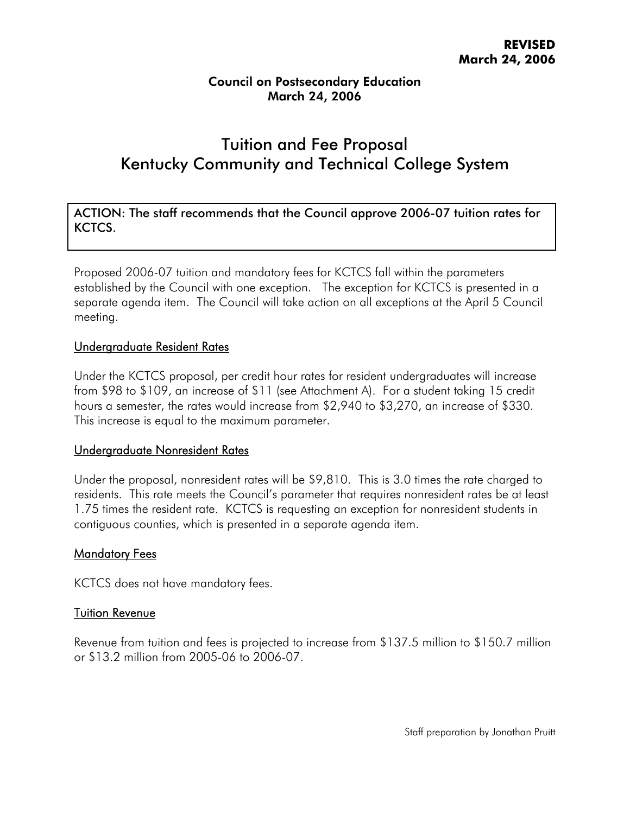# Tuition and Fee Proposal Kentucky Community and Technical College System

ACTION: The staff recommends that the Council approve 2006-07 tuition rates for KCTCS.

Proposed 2006-07 tuition and mandatory fees for KCTCS fall within the parameters established by the Council with one exception. The exception for KCTCS is presented in a separate agenda item. The Council will take action on all exceptions at the April 5 Council meeting.

#### Undergraduate Resident Rates

Under the KCTCS proposal, per credit hour rates for resident undergraduates will increase from \$98 to \$109, an increase of \$11 (see Attachment A). For a student taking 15 credit hours a semester, the rates would increase from \$2,940 to \$3,270, an increase of \$330. This increase is equal to the maximum parameter.

#### Undergraduate Nonresident Rates

Under the proposal, nonresident rates will be \$9,810. This is 3.0 times the rate charged to residents. This rate meets the Council's parameter that requires nonresident rates be at least 1.75 times the resident rate. KCTCS is requesting an exception for nonresident students in contiguous counties, which is presented in a separate agenda item.

#### **Mandatory Fees**

KCTCS does not have mandatory fees.

#### Tuition Revenue

Revenue from tuition and fees is projected to increase from \$137.5 million to \$150.7 million or \$13.2 million from 2005-06 to 2006-07.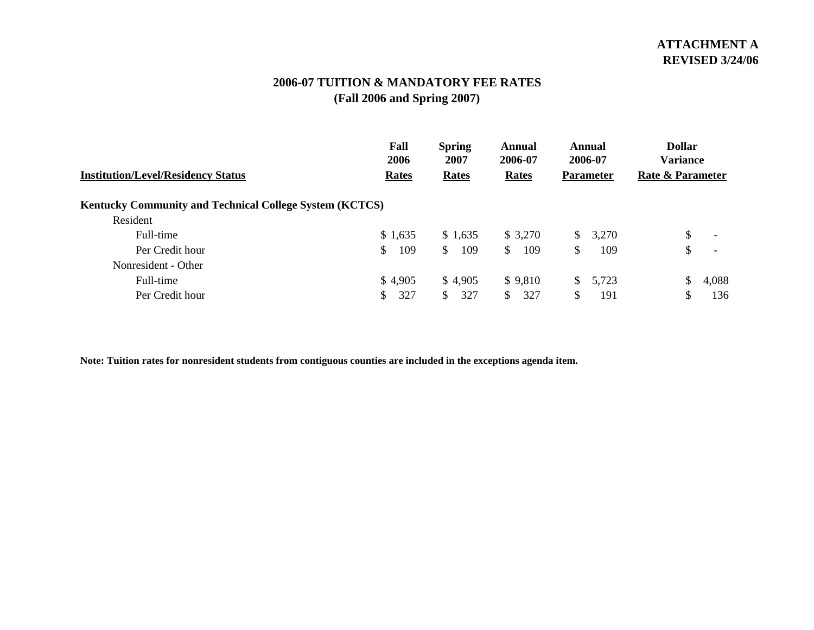## **2006-07 TUITION & MANDATORY FEE RATES(Fall 2006 and Spring 2007)**

|                                                                | Fall<br>2006 | <b>Spring</b><br>2007 | Annual<br>2006-07 | Annual<br>2006-07 | <b>Dollar</b><br><b>Variance</b> |
|----------------------------------------------------------------|--------------|-----------------------|-------------------|-------------------|----------------------------------|
| <b>Institution/Level/Residency Status</b>                      | Rates        | <b>Rates</b>          | Rates             | <b>Parameter</b>  | <b>Rate &amp; Parameter</b>      |
| <b>Kentucky Community and Technical College System (KCTCS)</b> |              |                       |                   |                   |                                  |
| Resident                                                       |              |                       |                   |                   |                                  |
| Full-time                                                      | \$1,635      | \$1,635               | \$3,270           | 3,270<br>S.       | \$<br>$\overline{\phantom{0}}$   |
| Per Credit hour                                                | 109<br>\$    | 109<br><sup>\$</sup>  | 109<br>S.         | \$<br>109         | \$                               |
| Nonresident - Other                                            |              |                       |                   |                   |                                  |
| Full-time                                                      | \$4,905      | \$4,905               | \$9,810           | 5,723<br>\$       | \$<br>4,088                      |
| Per Credit hour                                                | 327<br>\$    | 327<br>\$             | 327               | 191<br>S          | \$<br>136                        |

Note: Tuition rates for nonresident students from contiguous counties are included in the exceptions agenda item.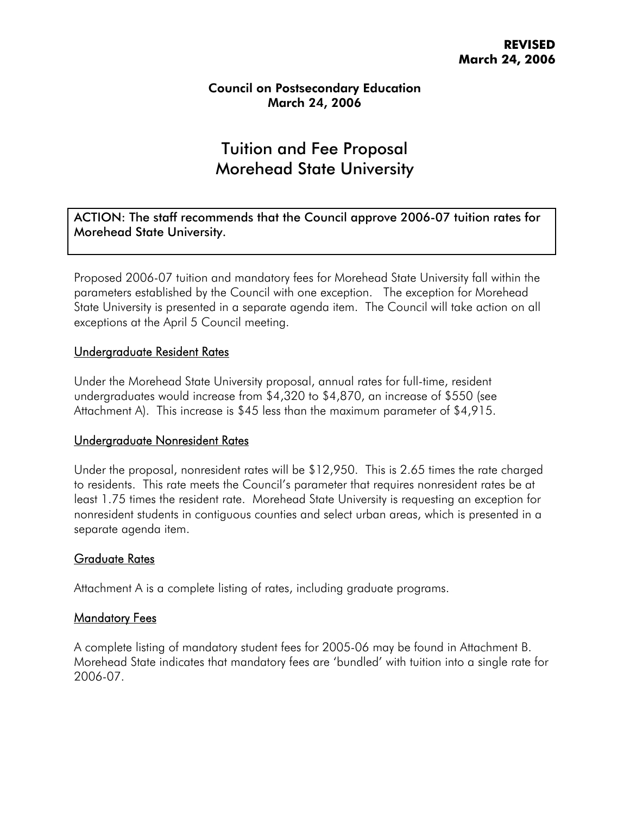## Tuition and Fee Proposal Morehead State University

ACTION: The staff recommends that the Council approve 2006-07 tuition rates for Morehead State University.

Proposed 2006-07 tuition and mandatory fees for Morehead State University fall within the parameters established by the Council with one exception. The exception for Morehead State University is presented in a separate agenda item. The Council will take action on all exceptions at the April 5 Council meeting.

#### Undergraduate Resident Rates

Under the Morehead State University proposal, annual rates for full-time, resident undergraduates would increase from \$4,320 to \$4,870, an increase of \$550 (see Attachment A). This increase is \$45 less than the maximum parameter of \$4,915.

#### Undergraduate Nonresident Rates

Under the proposal, nonresident rates will be \$12,950. This is 2.65 times the rate charged to residents. This rate meets the Council's parameter that requires nonresident rates be at least 1.75 times the resident rate. Morehead State University is requesting an exception for nonresident students in contiguous counties and select urban areas, which is presented in a separate agenda item.

#### Graduate Rates

Attachment A is a complete listing of rates, including graduate programs.

#### Mandatory Fees

A complete listing of mandatory student fees for 2005-06 may be found in Attachment B. Morehead State indicates that mandatory fees are 'bundled' with tuition into a single rate for 2006-07.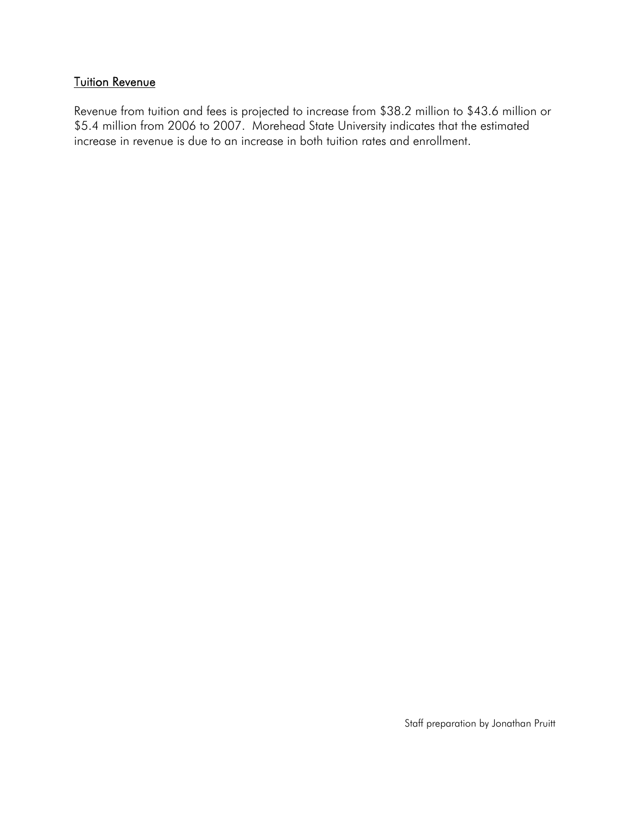## **Tuition Revenue**

Revenue from tuition and fees is projected to increase from \$38.2 million to \$43.6 million or \$5.4 million from 2006 to 2007. Morehead State University indicates that the estimated increase in revenue is due to an increase in both tuition rates and enrollment.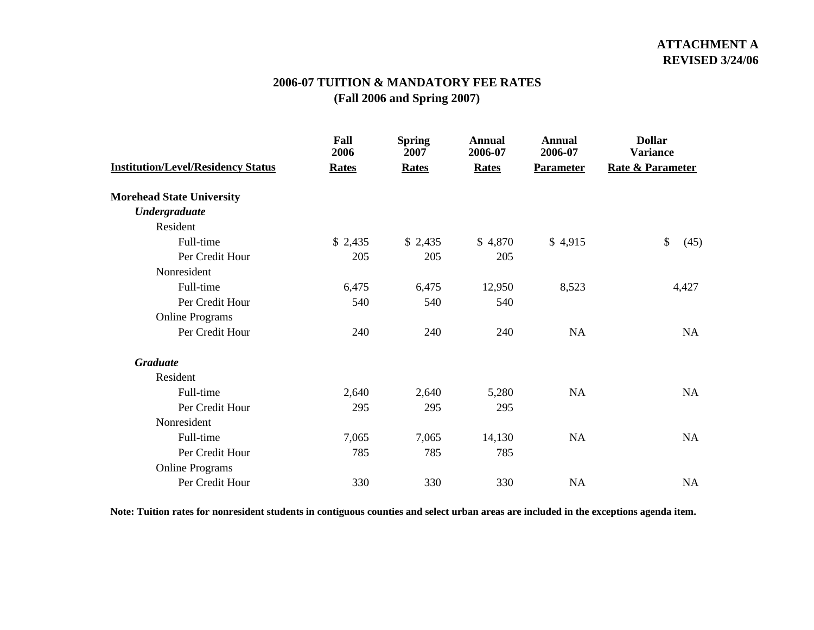## **2006-07 TUITION & MANDATORY FEE RATES(Fall 2006 and Spring 2007)**

|                                           | Fall<br>2006 | <b>Spring</b><br>2007 | Annual<br>2006-07 | <b>Annual</b><br>2006-07 | <b>Dollar</b><br><b>Variance</b> |
|-------------------------------------------|--------------|-----------------------|-------------------|--------------------------|----------------------------------|
| <b>Institution/Level/Residency Status</b> | <b>Rates</b> | <b>Rates</b>          | <b>Rates</b>      | <b>Parameter</b>         | <b>Rate &amp; Parameter</b>      |
| <b>Morehead State University</b>          |              |                       |                   |                          |                                  |
| <b>Undergraduate</b>                      |              |                       |                   |                          |                                  |
| Resident                                  |              |                       |                   |                          |                                  |
| Full-time                                 | \$2,435      | \$2,435               | \$4,870           | \$4,915                  | \$<br>(45)                       |
| Per Credit Hour                           | 205          | 205                   | 205               |                          |                                  |
| Nonresident                               |              |                       |                   |                          |                                  |
| Full-time                                 | 6,475        | 6,475                 | 12,950            | 8,523                    | 4,427                            |
| Per Credit Hour                           | 540          | 540                   | 540               |                          |                                  |
| <b>Online Programs</b>                    |              |                       |                   |                          |                                  |
| Per Credit Hour                           | 240          | 240                   | 240               | <b>NA</b>                | <b>NA</b>                        |
| <b>Graduate</b>                           |              |                       |                   |                          |                                  |
| Resident                                  |              |                       |                   |                          |                                  |
| Full-time                                 | 2,640        | 2,640                 | 5,280             | <b>NA</b>                | <b>NA</b>                        |
| Per Credit Hour                           | 295          | 295                   | 295               |                          |                                  |
| Nonresident                               |              |                       |                   |                          |                                  |
| Full-time                                 | 7,065        | 7,065                 | 14,130            | NA                       | NA                               |
| Per Credit Hour                           | 785          | 785                   | 785               |                          |                                  |
| <b>Online Programs</b>                    |              |                       |                   |                          |                                  |
| Per Credit Hour                           | 330          | 330                   | 330               | <b>NA</b>                | <b>NA</b>                        |

Note: Tuition rates for nonresident students in contiguous counties and select urban areas are included in the exceptions agenda item.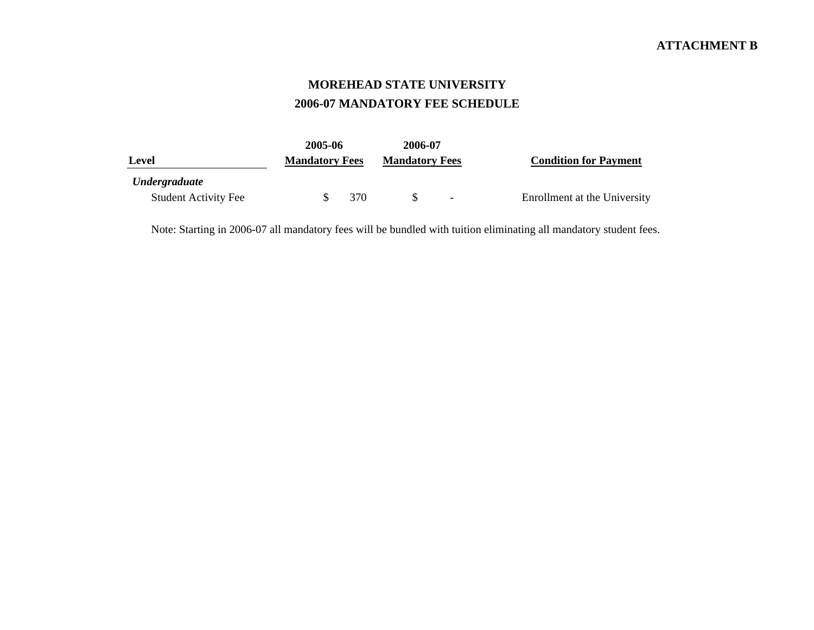## **MOREHEAD STATE UNIVERSITY 2006-07 MANDATORY FEE SCHEDULE**

|                             | 2005-06               | 2006-07               |                              |
|-----------------------------|-----------------------|-----------------------|------------------------------|
| Level                       | <b>Mandatory Fees</b> | <b>Mandatory Fees</b> | <b>Condition for Payment</b> |
| <i><b>Undergraduate</b></i> |                       |                       |                              |
| <b>Student Activity Fee</b> | 370                   | $\sim$                | Enrollment at the University |

Note: Starting in 2006-07 all mandatory fees will be bundled with tuition eliminating all mandatory student fees.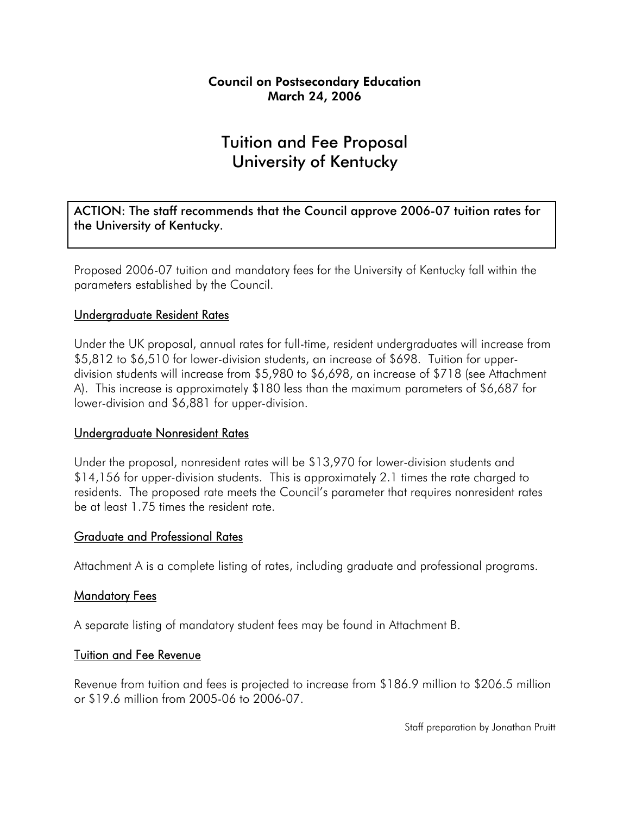# Tuition and Fee Proposal University of Kentucky

ACTION: The staff recommends that the Council approve 2006-07 tuition rates for the University of Kentucky.

Proposed 2006-07 tuition and mandatory fees for the University of Kentucky fall within the parameters established by the Council.

#### Undergraduate Resident Rates

Under the UK proposal, annual rates for full-time, resident undergraduates will increase from \$5,812 to \$6,510 for lower-division students, an increase of \$698. Tuition for upperdivision students will increase from \$5,980 to \$6,698, an increase of \$718 (see Attachment A). This increase is approximately \$180 less than the maximum parameters of \$6,687 for lower-division and \$6,881 for upper-division.

#### Undergraduate Nonresident Rates

Under the proposal, nonresident rates will be \$13,970 for lower-division students and \$14,156 for upper-division students. This is approximately 2.1 times the rate charged to residents. The proposed rate meets the Council's parameter that requires nonresident rates be at least 1.75 times the resident rate.

#### Graduate and Professional Rates

Attachment A is a complete listing of rates, including graduate and professional programs.

#### **Mandatory Fees**

A separate listing of mandatory student fees may be found in Attachment B.

#### Tuition and Fee Revenue

Revenue from tuition and fees is projected to increase from \$186.9 million to \$206.5 million or \$19.6 million from 2005-06 to 2006-07.

Staff preparation by Jonathan Pruitt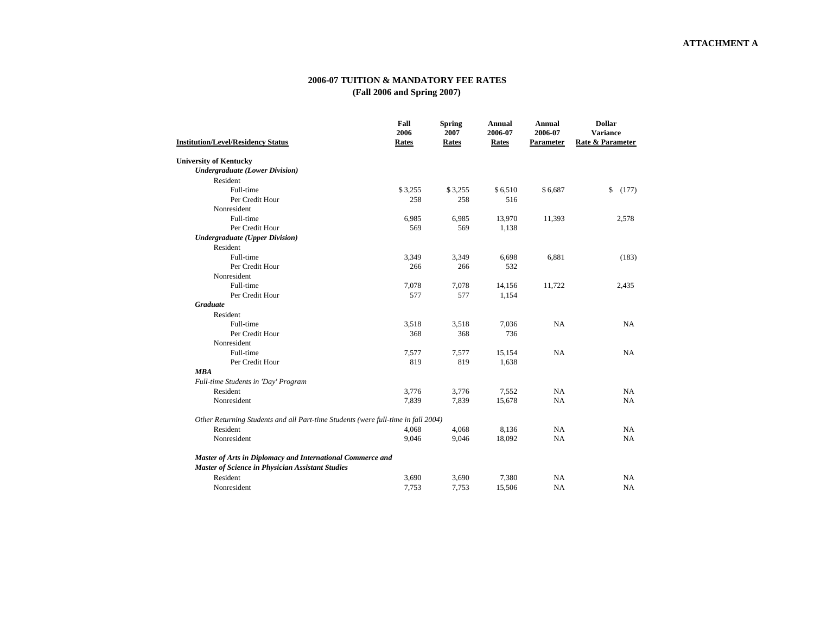#### **2006-07 TUITION & MANDATORY FEE RATES (Fall 2006 and Spring 2007)**

|                                                                                   | Fall<br>2006 | <b>Spring</b><br>2007 | <b>Annual</b><br>2006-07 | <b>Annual</b><br>2006-07 | <b>Dollar</b><br><b>Variance</b> |
|-----------------------------------------------------------------------------------|--------------|-----------------------|--------------------------|--------------------------|----------------------------------|
| <b>Institution/Level/Residency Status</b>                                         | Rates        | Rates                 | Rates                    | Parameter                | Rate & Parameter                 |
| <b>University of Kentucky</b>                                                     |              |                       |                          |                          |                                  |
| <b>Undergraduate (Lower Division)</b>                                             |              |                       |                          |                          |                                  |
| Resident                                                                          |              |                       |                          |                          |                                  |
| Full-time                                                                         | \$3,255      | \$3,255               | \$6,510                  | \$6,687                  | \$<br>(177)                      |
| Per Credit Hour                                                                   | 258          | 258                   | 516                      |                          |                                  |
| Nonresident                                                                       |              |                       |                          |                          |                                  |
| Full-time                                                                         | 6,985        | 6,985                 | 13,970                   | 11,393                   | 2,578                            |
| Per Credit Hour                                                                   | 569          | 569                   | 1,138                    |                          |                                  |
| <b>Undergraduate (Upper Division)</b>                                             |              |                       |                          |                          |                                  |
| Resident                                                                          |              |                       |                          |                          |                                  |
| Full-time                                                                         | 3,349        | 3,349                 | 6,698                    | 6,881                    | (183)                            |
| Per Credit Hour                                                                   | 266          | 266                   | 532                      |                          |                                  |
| Nonresident                                                                       |              |                       |                          |                          |                                  |
| Full-time                                                                         | 7,078        | 7,078                 | 14,156                   | 11,722                   | 2,435                            |
| Per Credit Hour                                                                   | 577          | 577                   | 1,154                    |                          |                                  |
| <b>Graduate</b>                                                                   |              |                       |                          |                          |                                  |
| Resident                                                                          |              |                       |                          |                          |                                  |
| Full-time                                                                         | 3,518        | 3,518                 | 7,036                    | NA                       | NA                               |
| Per Credit Hour                                                                   | 368          | 368                   | 736                      |                          |                                  |
| Nonresident                                                                       |              |                       |                          |                          |                                  |
| Full-time                                                                         | 7,577        | 7,577                 | 15,154                   | NA                       | NA                               |
| Per Credit Hour                                                                   | 819          | 819                   | 1,638                    |                          |                                  |
| <b>MBA</b>                                                                        |              |                       |                          |                          |                                  |
| Full-time Students in 'Day' Program                                               |              |                       |                          |                          |                                  |
| Resident                                                                          | 3,776        | 3,776                 | 7,552                    | NA                       | NA                               |
| Nonresident                                                                       | 7,839        | 7,839                 | 15,678                   | NA                       | NA                               |
| Other Returning Students and all Part-time Students (were full-time in fall 2004) |              |                       |                          |                          |                                  |
| Resident                                                                          | 4,068        | 4,068                 | 8,136                    | NA                       | NA                               |
| Nonresident                                                                       | 9,046        | 9,046                 | 18,092                   | NA                       | NA                               |
| Master of Arts in Diplomacy and International Commerce and                        |              |                       |                          |                          |                                  |
| Master of Science in Physician Assistant Studies                                  |              |                       |                          |                          |                                  |
| Resident                                                                          | 3,690        | 3,690                 | 7,380                    | NA                       | NA                               |
| Nonresident                                                                       | 7,753        | 7,753                 | 15,506                   | <b>NA</b>                | NA                               |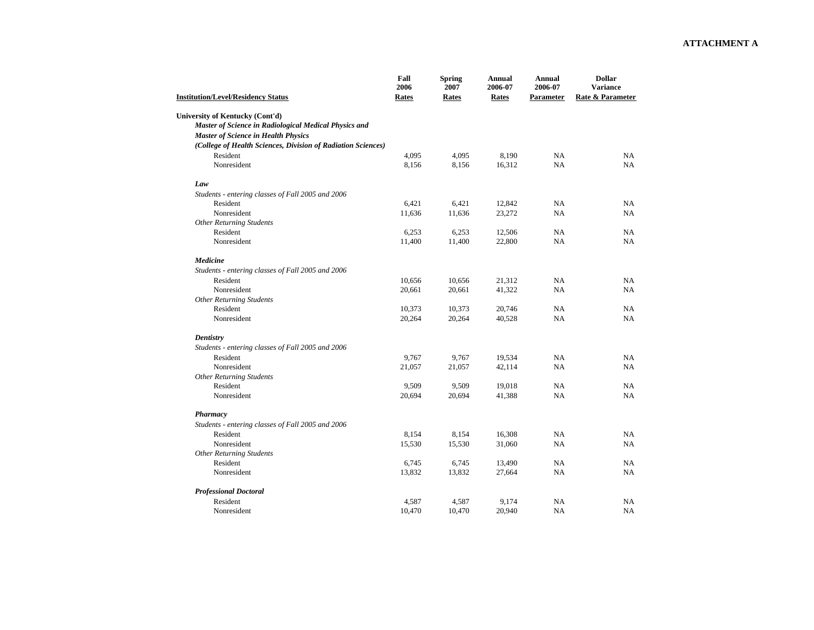| <b>Institution/Level/Residency Status</b>                    | Fall<br>2006<br>Rates | <b>Spring</b><br>2007<br>Rates | <b>Annual</b><br>2006-07<br>Rates | <b>Annual</b><br>2006-07<br>Parameter | <b>Dollar</b><br><b>Variance</b><br>Rate & Parameter |
|--------------------------------------------------------------|-----------------------|--------------------------------|-----------------------------------|---------------------------------------|------------------------------------------------------|
| University of Kentucky (Cont'd)                              |                       |                                |                                   |                                       |                                                      |
| Master of Science in Radiological Medical Physics and        |                       |                                |                                   |                                       |                                                      |
| <b>Master of Science in Health Physics</b>                   |                       |                                |                                   |                                       |                                                      |
| (College of Health Sciences, Division of Radiation Sciences) |                       |                                |                                   |                                       |                                                      |
| Resident                                                     | 4,095                 | 4,095                          | 8,190                             | NA                                    | NA                                                   |
| Nonresident                                                  | 8,156                 | 8,156                          | 16,312                            | NA                                    | NA                                                   |
| Law                                                          |                       |                                |                                   |                                       |                                                      |
| Students - entering classes of Fall 2005 and 2006            |                       |                                |                                   |                                       |                                                      |
| Resident                                                     | 6,421                 | 6,421                          | 12,842                            | NA                                    | <b>NA</b>                                            |
| Nonresident                                                  | 11,636                | 11,636                         | 23,272                            | NA                                    | <b>NA</b>                                            |
| <b>Other Returning Students</b>                              |                       |                                |                                   |                                       |                                                      |
| Resident                                                     | 6,253                 | 6,253                          | 12,506                            | NA                                    | NA                                                   |
| Nonresident                                                  | 11,400                | 11,400                         | 22,800                            | NA                                    | NA                                                   |
| Medicine                                                     |                       |                                |                                   |                                       |                                                      |
| Students - entering classes of Fall 2005 and 2006            |                       |                                |                                   |                                       |                                                      |
| Resident                                                     | 10,656                | 10,656                         | 21,312                            | NA                                    | <b>NA</b>                                            |
| Nonresident                                                  | 20,661                | 20,661                         | 41,322                            | NA                                    | NA                                                   |
| <b>Other Returning Students</b>                              |                       |                                |                                   |                                       |                                                      |
| Resident                                                     | 10,373                | 10,373                         | 20,746                            | NA                                    | NA                                                   |
| Nonresident                                                  | 20,264                | 20,264                         | 40,528                            | NA                                    | NA                                                   |
| <b>Dentistry</b>                                             |                       |                                |                                   |                                       |                                                      |
| Students - entering classes of Fall 2005 and 2006            |                       |                                |                                   |                                       |                                                      |
| Resident                                                     | 9,767                 | 9,767                          | 19,534                            | NA                                    | <b>NA</b>                                            |
| Nonresident                                                  | 21,057                | 21,057                         | 42,114                            | NA                                    | <b>NA</b>                                            |
| <b>Other Returning Students</b>                              |                       |                                |                                   |                                       |                                                      |
| Resident                                                     | 9,509                 | 9,509                          | 19,018                            | NA                                    | NA                                                   |
| Nonresident                                                  | 20,694                | 20,694                         | 41,388                            | NA                                    | NA                                                   |
| Pharmacy                                                     |                       |                                |                                   |                                       |                                                      |
| Students - entering classes of Fall 2005 and 2006            |                       |                                |                                   |                                       |                                                      |
| Resident                                                     | 8,154                 | 8,154                          | 16,308                            | NA                                    | NA                                                   |
| Nonresident                                                  | 15,530                | 15,530                         | 31,060                            | NA                                    | NA                                                   |
| <b>Other Returning Students</b>                              |                       |                                |                                   |                                       |                                                      |
| Resident                                                     | 6,745                 | 6,745                          | 13,490                            | NA                                    | NA                                                   |
| Nonresident                                                  | 13,832                | 13,832                         | 27,664                            | NA                                    | NA                                                   |
| <b>Professional Doctoral</b>                                 |                       |                                |                                   |                                       |                                                      |
| Resident                                                     | 4,587                 | 4,587                          | 9,174                             | <b>NA</b>                             | <b>NA</b>                                            |
| Nonresident                                                  | 10,470                | 10,470                         | 20,940                            | NA                                    | NA                                                   |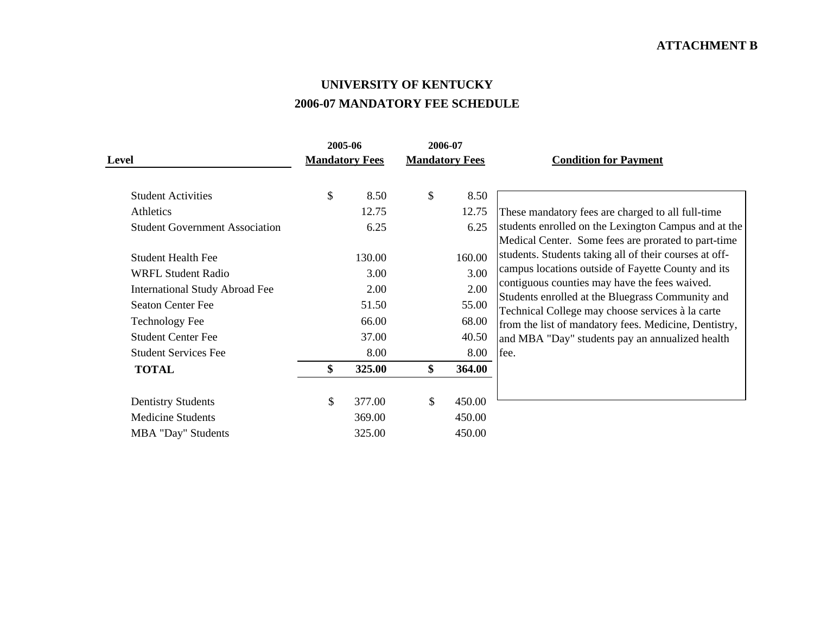#### **UNIVERSITY OF KENTUCKY 2006-07 MANDATORY FEE SCHEDULE**

|                                       | 2005-06 |                       |                           | 2006-07               |                                                                                                             |
|---------------------------------------|---------|-----------------------|---------------------------|-----------------------|-------------------------------------------------------------------------------------------------------------|
| <b>Level</b>                          |         | <b>Mandatory Fees</b> |                           | <b>Mandatory Fees</b> | <b>Condition for Payment</b>                                                                                |
| <b>Student Activities</b>             | \$      | 8.50                  | \$                        | 8.50                  |                                                                                                             |
| Athletics                             |         | 12.75                 |                           | 12.75                 | These mandatory fees are charged to all full-time                                                           |
| <b>Student Government Association</b> |         | 6.25                  |                           | 6.25                  | students enrolled on the Lexington Campus and at the<br>Medical Center. Some fees are prorated to part-time |
| <b>Student Health Fee</b>             |         | 130.00                |                           | 160.00                | students. Students taking all of their courses at off-                                                      |
| <b>WRFL Student Radio</b>             |         | 3.00                  |                           | 3.00                  | campus locations outside of Fayette County and its                                                          |
| <b>International Study Abroad Fee</b> |         | 2.00                  |                           | 2.00                  | contiguous counties may have the fees waived.<br>Students enrolled at the Bluegrass Community and           |
| <b>Seaton Center Fee</b>              |         | 51.50                 |                           | 55.00                 | Technical College may choose services à la carte                                                            |
| <b>Technology Fee</b>                 |         | 66.00                 |                           | 68.00                 | from the list of mandatory fees. Medicine, Dentistry,                                                       |
| <b>Student Center Fee</b>             |         | 37.00                 |                           | 40.50                 | and MBA "Day" students pay an annualized health                                                             |
| <b>Student Services Fee</b>           |         | 8.00                  |                           | 8.00                  | fee.                                                                                                        |
| <b>TOTAL</b>                          | \$      | 325.00                | \$                        | 364.00                |                                                                                                             |
| <b>Dentistry Students</b>             | \$      | 377.00                | $\boldsymbol{\mathsf{S}}$ | 450.00                |                                                                                                             |
| <b>Medicine Students</b>              |         | 369.00                |                           | 450.00                |                                                                                                             |
| <b>MBA</b> "Day" Students             |         | 325.00                |                           | 450.00                |                                                                                                             |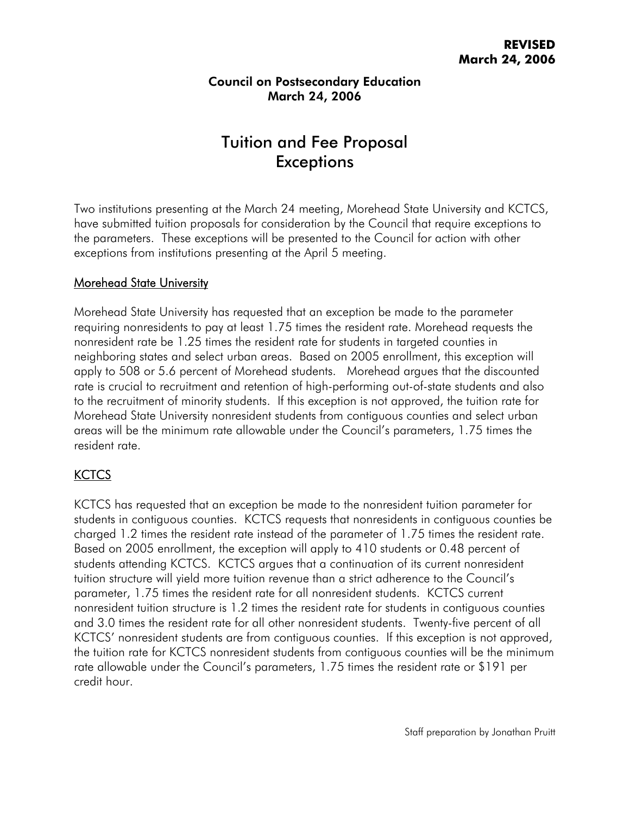# Tuition and Fee Proposal **Exceptions**

Two institutions presenting at the March 24 meeting, Morehead State University and KCTCS, have submitted tuition proposals for consideration by the Council that require exceptions to the parameters. These exceptions will be presented to the Council for action with other exceptions from institutions presenting at the April 5 meeting.

#### Morehead State University

Morehead State University has requested that an exception be made to the parameter requiring nonresidents to pay at least 1.75 times the resident rate. Morehead requests the nonresident rate be 1.25 times the resident rate for students in targeted counties in neighboring states and select urban areas. Based on 2005 enrollment, this exception will apply to 508 or 5.6 percent of Morehead students. Morehead argues that the discounted rate is crucial to recruitment and retention of high-performing out-of-state students and also to the recruitment of minority students. If this exception is not approved, the tuition rate for Morehead State University nonresident students from contiguous counties and select urban areas will be the minimum rate allowable under the Council's parameters, 1.75 times the resident rate.

#### **KCTCS**

KCTCS has requested that an exception be made to the nonresident tuition parameter for students in contiguous counties. KCTCS requests that nonresidents in contiguous counties be charged 1.2 times the resident rate instead of the parameter of 1.75 times the resident rate. Based on 2005 enrollment, the exception will apply to 410 students or 0.48 percent of students attending KCTCS. KCTCS argues that a continuation of its current nonresident tuition structure will yield more tuition revenue than a strict adherence to the Council's parameter, 1.75 times the resident rate for all nonresident students. KCTCS current nonresident tuition structure is 1.2 times the resident rate for students in contiguous counties and 3.0 times the resident rate for all other nonresident students. Twenty-five percent of all KCTCS' nonresident students are from contiguous counties. If this exception is not approved, the tuition rate for KCTCS nonresident students from contiguous counties will be the minimum rate allowable under the Council's parameters, 1.75 times the resident rate or \$191 per credit hour.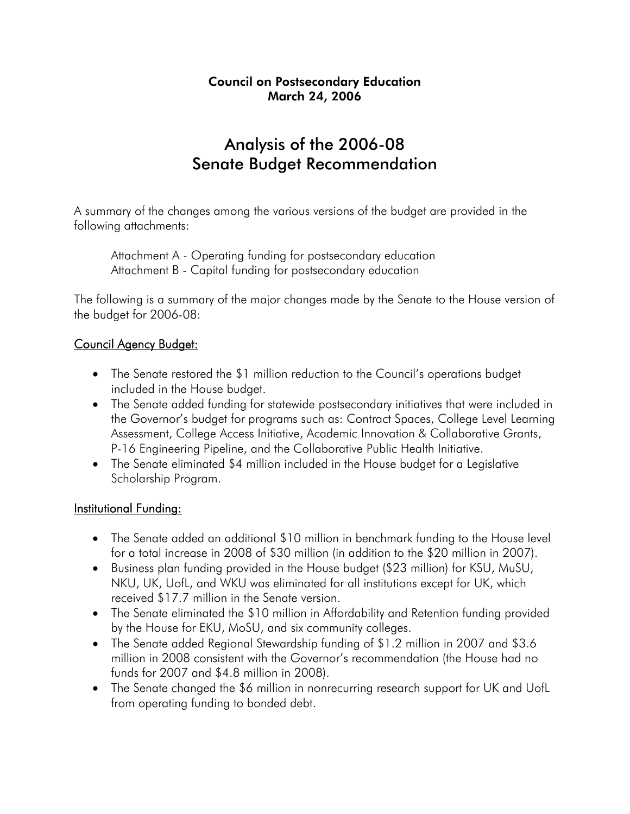## Analysis of the 2006-08 Senate Budget Recommendation

A summary of the changes among the various versions of the budget are provided in the following attachments:

 Attachment A - Operating funding for postsecondary education Attachment B - Capital funding for postsecondary education

The following is a summary of the major changes made by the Senate to the House version of the budget for 2006-08:

## Council Agency Budget:

- The Senate restored the \$1 million reduction to the Council's operations budget included in the House budget.
- The Senate added funding for statewide postsecondary initiatives that were included in the Governor's budget for programs such as: Contract Spaces, College Level Learning Assessment, College Access Initiative, Academic Innovation & Collaborative Grants, P-16 Engineering Pipeline, and the Collaborative Public Health Initiative.
- The Senate eliminated \$4 million included in the House budget for a Legislative Scholarship Program.

#### Institutional Funding:

- The Senate added an additional \$10 million in benchmark funding to the House level for a total increase in 2008 of \$30 million (in addition to the \$20 million in 2007).
- Business plan funding provided in the House budget (\$23 million) for KSU, MuSU, NKU, UK, UofL, and WKU was eliminated for all institutions except for UK, which received \$17.7 million in the Senate version.
- The Senate eliminated the \$10 million in Affordability and Retention funding provided by the House for EKU, MoSU, and six community colleges.
- The Senate added Regional Stewardship funding of \$1.2 million in 2007 and \$3.6 million in 2008 consistent with the Governor's recommendation (the House had no funds for 2007 and \$4.8 million in 2008).
- The Senate changed the \$6 million in nonrecurring research support for UK and UofL from operating funding to bonded debt.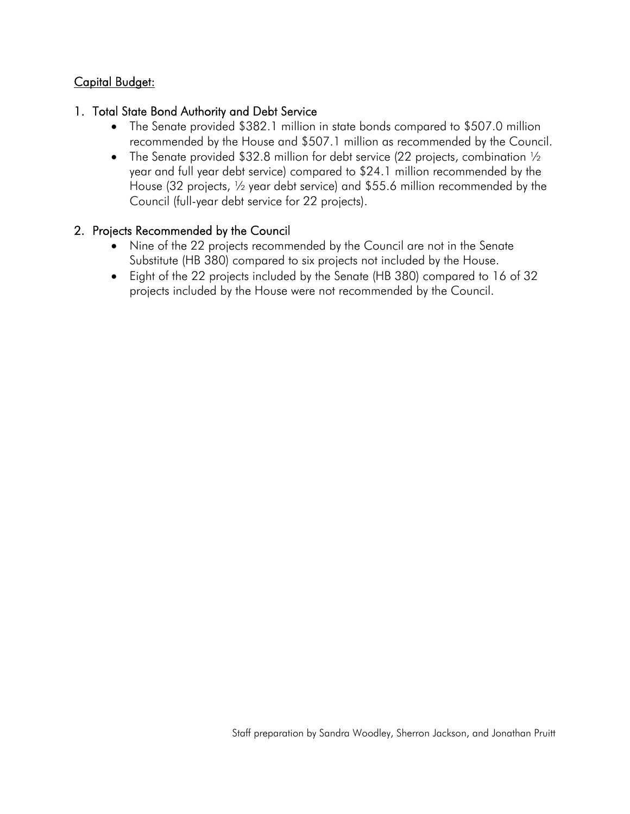## Capital Budget:

#### 1. Total State Bond Authority and Debt Service

- The Senate provided \$382.1 million in state bonds compared to \$507.0 million recommended by the House and \$507.1 million as recommended by the Council.
- The Senate provided \$32.8 million for debt service (22 projects, combination  $\frac{1}{2}$ year and full year debt service) compared to \$24.1 million recommended by the House (32 projects, ½ year debt service) and \$55.6 million recommended by the Council (full-year debt service for 22 projects).

#### 2. Projects Recommended by the Council

- Nine of the 22 projects recommended by the Council are not in the Senate Substitute (HB 380) compared to six projects not included by the House.
- Eight of the 22 projects included by the Senate (HB 380) compared to 16 of 32 projects included by the House were not recommended by the Council.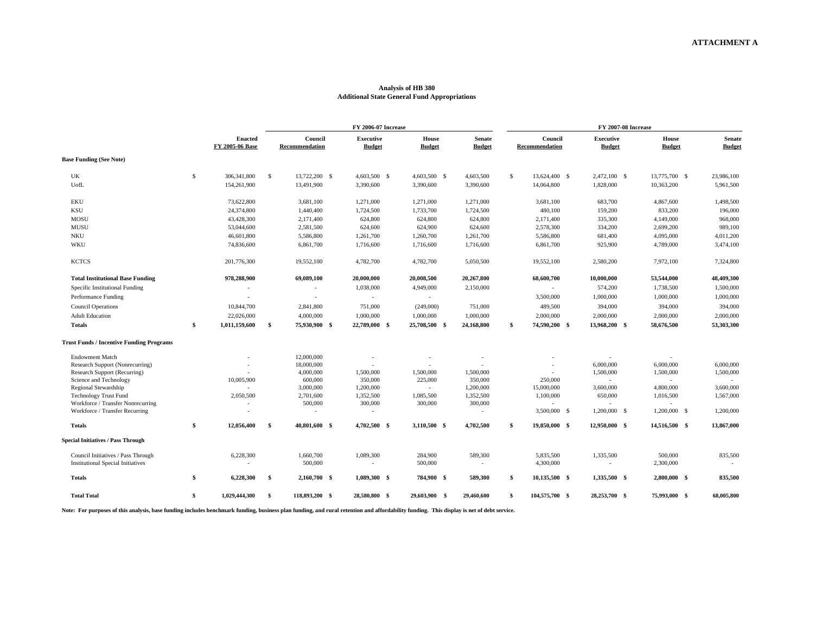#### **Analysis of HB 380 Additional State General Fund Appropriations**

|                                                                                |                                   | <b>FY 2006-07 Increase</b> |                           |                                   |  |                               |                                |     | <b>FY 2007-08 Increase</b> |  |                                   |  |                               |                                |  |  |  |  |  |
|--------------------------------------------------------------------------------|-----------------------------------|----------------------------|---------------------------|-----------------------------------|--|-------------------------------|--------------------------------|-----|----------------------------|--|-----------------------------------|--|-------------------------------|--------------------------------|--|--|--|--|--|
|                                                                                | <b>Enacted</b><br>FY 2005-06 Base |                            | Council<br>Recommendation | <b>Executive</b><br><b>Budget</b> |  | <b>House</b><br><b>Budget</b> | <b>Senate</b><br><b>Budget</b> |     | Council<br>Recommendation  |  | <b>Executive</b><br><b>Budget</b> |  | <b>House</b><br><b>Budget</b> | <b>Senate</b><br><b>Budget</b> |  |  |  |  |  |
| <b>Base Funding (See Note)</b>                                                 |                                   |                            |                           |                                   |  |                               |                                |     |                            |  |                                   |  |                               |                                |  |  |  |  |  |
| UK                                                                             | \$<br>306,341,800                 | -\$                        | 13,722,200 \$             | 4,603,500 \$                      |  | 4,603,500 \$                  | 4,603,500                      | \$. | 13,624,400 \$              |  | 2,472,100 \$                      |  | 13,775,700 \$                 | 23,986,100                     |  |  |  |  |  |
| UofL                                                                           | 154,261,900                       |                            | 13,491,900                | 3,390,600                         |  | 3,390,600                     | 3,390,600                      |     | 14,064,800                 |  | 1,828,000                         |  | 10,363,200                    | 5,961,500                      |  |  |  |  |  |
| <b>EKU</b>                                                                     | 73,622,800                        |                            | 3,681,100                 | 1,271,000                         |  | 1,271,000                     | 1,271,000                      |     | 3,681,100                  |  | 683,700                           |  | 4,867,600                     | 1,498,500                      |  |  |  |  |  |
| <b>KSU</b>                                                                     | 24,374,800                        |                            | 1,440,400                 | 1,724,500                         |  | 1,733,700                     | 1,724,500                      |     | 480,100                    |  | 159,200                           |  | 833,200                       | 196,000                        |  |  |  |  |  |
| MOSU                                                                           | 43,428,300                        |                            | 2,171,400                 | 624,800                           |  | 624,800                       | 624,800                        |     | 2,171,400                  |  | 335,300                           |  | 4,149,000                     | 968,000                        |  |  |  |  |  |
| <b>MUSU</b>                                                                    | 53,044,600                        |                            | 2,581,500                 | 624,600                           |  | 624,900                       | 624,600                        |     | 2,578,300                  |  | 334,200                           |  | 2,699,200                     | 989,100                        |  |  |  |  |  |
| <b>NKU</b>                                                                     | 46,601,800                        |                            | 5,586,800                 | 1,261,700                         |  | 1,260,700                     | 1,261,700                      |     | 5,586,800                  |  | 681,400                           |  | 4,095,000                     | 4,011,200                      |  |  |  |  |  |
| WKU                                                                            | 74,836,600                        |                            | 6,861,700                 | 1,716,600                         |  | 1,716,600                     | 1,716,600                      |     | 6,861,700                  |  | 925,900                           |  | 4,789,000                     | 3,474,100                      |  |  |  |  |  |
| <b>KCTCS</b>                                                                   | 201,776,300                       |                            | 19,552,100                | 4,782,700                         |  | 4,782,700                     | 5,050,500                      |     | 19,552,100                 |  | 2,580,200                         |  | 7,972,100                     | 7,324,800                      |  |  |  |  |  |
| <b>Total Institutional Base Funding</b>                                        | 978,288,900                       |                            | 69,089,100                | 20,000,000                        |  | 20,008,500                    | 20,267,800                     |     | 68,600,700                 |  | 10,000,000                        |  | 53,544,000                    | 48,409,300                     |  |  |  |  |  |
| Specific Institutional Funding                                                 |                                   |                            |                           | 1,038,000                         |  | 4,949,000                     | 2,150,000                      |     |                            |  | 574,200                           |  | 1,738,500                     | 1,500,000                      |  |  |  |  |  |
| Performance Funding                                                            |                                   |                            |                           | $\sim$                            |  | $\sim$                        |                                |     | 3,500,000                  |  | 1,000,000                         |  | 1,000,000                     | 1,000,000                      |  |  |  |  |  |
| <b>Council Operations</b>                                                      | 10,844,700                        |                            | 2,841,800                 | 751,000                           |  | (249,000)                     | 751,000                        |     | 489,500                    |  | 394,000                           |  | 394,000                       | 394,000                        |  |  |  |  |  |
| <b>Adult Education</b>                                                         | 22,026,000                        |                            | 4,000,000                 | 1,000,000                         |  | 1,000,000                     | 1,000,000                      |     | 2,000,000                  |  | 2,000,000                         |  | 2,000,000                     | 2,000,000                      |  |  |  |  |  |
| <b>Totals</b>                                                                  | \$<br>1,011,159,600               | -\$                        | 75,930,900 \$             | 22,789,000 \$                     |  | 25,708,500 \$                 | 24,168,800                     | \$  | 74,590,200 \$              |  | 13,968,200 \$                     |  | 58,676,500                    | 53,303,300                     |  |  |  |  |  |
| <b>Trust Funds / Incentive Funding Programs</b>                                |                                   |                            |                           |                                   |  |                               |                                |     |                            |  |                                   |  |                               |                                |  |  |  |  |  |
| <b>Endowment Match</b>                                                         |                                   |                            | 12,000,000                |                                   |  |                               |                                |     |                            |  |                                   |  |                               |                                |  |  |  |  |  |
| Research Support (Nonrecurring)                                                |                                   |                            | 18,000,000                |                                   |  |                               |                                |     |                            |  | 6,000,000                         |  | 6,000,000                     | 6,000,000                      |  |  |  |  |  |
| Research Support (Recurring)                                                   |                                   |                            | 4,000,000                 | 1,500,000                         |  | 1,500,000                     | 1,500,000                      |     |                            |  | 1,500,000                         |  | 1,500,000                     | 1,500,000                      |  |  |  |  |  |
| Science and Technology                                                         | 10,005,900                        |                            | 600,000<br>3,000,000      | 350,000<br>1,200,000              |  | 225,000                       | 350,000<br>1,200,000           |     | 250,000<br>15,000,000      |  | 3,600,000                         |  | 4,800,000                     | 3,600,000                      |  |  |  |  |  |
| Regional Stewardship<br><b>Technology Trust Fund</b>                           | 2,050,500                         |                            | 2,701,600                 | 1,352,500                         |  | $\sim$<br>1,085,500           | 1,352,500                      |     | 1,100,000                  |  | 650,000                           |  | 1,016,500                     | 1,567,000                      |  |  |  |  |  |
| Workforce / Transfer Nonrecurring                                              |                                   |                            | 500,000                   | 300,000                           |  | 300,000                       | 300,000                        |     |                            |  |                                   |  |                               |                                |  |  |  |  |  |
| Workforce / Transfer Recurring                                                 |                                   |                            |                           |                                   |  |                               |                                |     | 3,500,000 \$               |  | 1,200,000 \$                      |  | $1,200,000$ \$                | 1,200,000                      |  |  |  |  |  |
| <b>Totals</b>                                                                  | \$<br>12,056,400                  | - \$                       | 40,801,600 \$             | 4,702,500 \$                      |  | 3,110,500 \$                  | 4,702,500                      | \$  | 19,850,000 \$              |  | 12,950,000 \$                     |  | 14,516,500 \$                 | 13,867,000                     |  |  |  |  |  |
| <b>Special Initiatives / Pass Through</b>                                      |                                   |                            |                           |                                   |  |                               |                                |     |                            |  |                                   |  |                               |                                |  |  |  |  |  |
| Council Initiatives / Pass Through<br><b>Institutional Special Initiatives</b> | 6,228,300<br>٠                    |                            | 1,660,700<br>500,000      | 1,089,300<br>$\sim$               |  | 284,900<br>500,000            | 589,300<br>$\sim$              |     | 5,835,500<br>4,300,000     |  | 1,335,500<br>$\sim$               |  | 500,000<br>2,300,000          | 835,500<br>$\sim$              |  |  |  |  |  |
| <b>Totals</b>                                                                  | \$<br>6,228,300                   | -\$                        | 2,160,700 \$              | 1,089,300 \$                      |  | 784,900 \$                    | 589,300                        | \$  | 10,135,500 \$              |  | 1,335,500 \$                      |  | 2,800,000 \$                  | 835,500                        |  |  |  |  |  |
| <b>Total Total</b>                                                             | \$<br>1,029,444,300               | -\$                        | 118,893,200 \$            | 28,580,800 \$                     |  | 29,603,900 \$                 | 29,460,600                     | \$  | 104,575,700 \$             |  | 28,253,700 \$                     |  | 75,993,000 \$                 | 68,005,800                     |  |  |  |  |  |

**Note: For purposes of this analysis, base funding includes benchmark funding, business plan funding, and rural retention and affordability funding. This display is net of debt service.**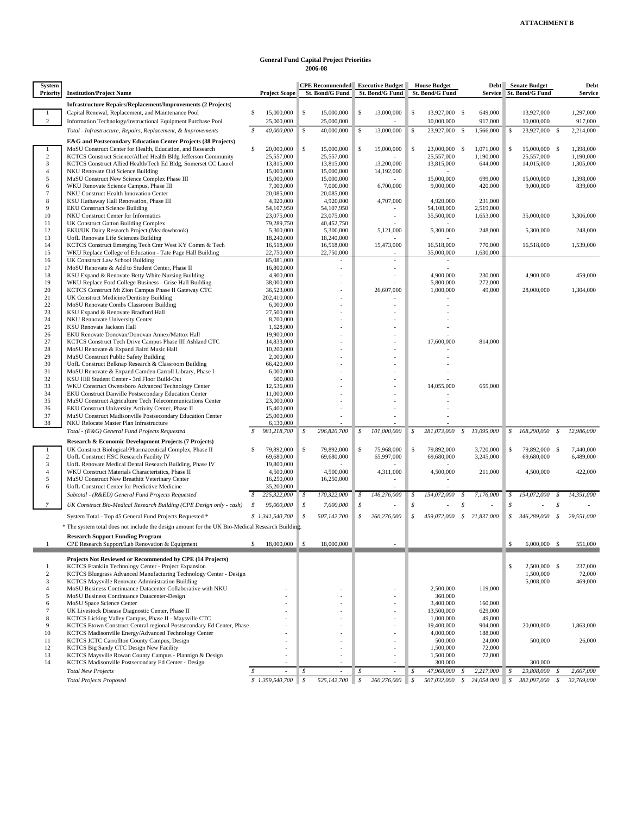#### **General Fund Capital Project Priorities 2006-08**

| <b>System</b><br><b>Priority</b> | <b>Institution/Project Name</b>                                                                                           | <b>Project Scope</b>          |              | St. Bond/G Fund          | <b>CPE Recommended</b> Executive Budget<br>St. Bond/G Fund |               | <b>House Budget</b><br>St. Bond/G Fund | <b>Service</b>            | Debt Senate Budget<br><b>St. Bond/G Fund</b> |    | Debt<br><b>Service</b> |  |
|----------------------------------|---------------------------------------------------------------------------------------------------------------------------|-------------------------------|--------------|--------------------------|------------------------------------------------------------|---------------|----------------------------------------|---------------------------|----------------------------------------------|----|------------------------|--|
|                                  | <b>Infrastructure Repairs/Replacement/Improvements (2 Projects)</b>                                                       |                               |              |                          |                                                            |               |                                        |                           |                                              |    |                        |  |
| $\mathbf{1}$<br>$\overline{2}$   | Capital Renewal, Replacement, and Maintenance Pool<br>Information Technology/Instructional Equipment Purchase Pool        | s<br>15,000,000<br>25,000,000 | \$           | 15,000,000<br>25,000,000 | \$<br>13,000,000                                           | \$            | 13,927,000 \$<br>10,000,000            | 649,000<br>917,000        | 13,927,000<br>10,000,000                     |    | 1,297,000<br>917,000   |  |
|                                  | Total - Infrastructure, Repairs, Replacement, & Improvements                                                              | 40,000,000                    | \$           | 40,000,000               | \$<br>13,000,000                                           | <sup>\$</sup> | 23,927,000 \$                          | 1,566,000                 | \$<br>23,927,000                             | -S | 2,214,000              |  |
|                                  | E&G and Postsecondary Education Center Projects (38 Projects)                                                             |                               |              |                          |                                                            |               |                                        |                           |                                              |    |                        |  |
| -1                               | MoSU Construct Center for Health, Education, and Research                                                                 | s<br>20,000,000               | \$           | 15,000,000               | \$<br>15,000,000                                           | S.            | 23,000,000 \$                          | 1,071,000                 | \$<br>15,000,000 \$                          |    | 1,398,000              |  |
| $\overline{c}$                   | KCTCS Construct Science/Allied Health Bldg Jefferson Community                                                            | 25,557,000                    |              | 25,557,000               |                                                            |               | 25,557,000                             | 1,190,000                 | 25,557,000                                   |    | 1,190,000              |  |
| 3<br>$\overline{4}$              | KCTCS Construct Allied Health/Tech Ed Bldg, Somerset CC Laurel<br>NKU Renovate Old Science Building                       | 13,815,000<br>15,000,000      |              | 13,815,000<br>15,000,000 | 13,200,000<br>14,192,000                                   |               | 13,815,000                             | 644,000                   | 14,015,000                                   |    | 1,305,000              |  |
| 5                                | MuSU Construct New Science Complex Phase III                                                                              | 15,000,000                    |              | 15,000,000               |                                                            |               | 15,000,000                             | 699,000                   | 15,000,000                                   |    | 1,398,000              |  |
| 6                                | WKU Renovate Science Campus, Phase III                                                                                    | 7,000,000                     |              | 7,000,000                | 6,700,000                                                  |               | 9,000,000                              | 420,000                   | 9,000,000                                    |    | 839,000                |  |
| $7\phantom{.0}$                  | NKU Construct Health Innovation Center                                                                                    | 20,085,000                    |              | 20,085,000               |                                                            |               |                                        |                           |                                              |    |                        |  |
| 8<br>9                           | KSU Hathaway Hall Renovation, Phase III<br><b>EKU Construct Science Building</b>                                          | 4,920,000<br>54,107,950       |              | 4,920,000<br>54,107,950  | 4,707,000                                                  |               | 4,920,000<br>54,108,000                | 231,000<br>2,519,000      |                                              |    |                        |  |
| 10                               | NKU Construct Center for Informatics                                                                                      | 23,075,000                    |              | 23,075,000               | ÷                                                          |               | 35,500,000                             | 1,653,000                 | 35,000,000                                   |    | 3,306,000              |  |
| 11                               | UK Construct Gatton Building Complex                                                                                      | 79,289,750                    |              | 40,452,750               |                                                            |               |                                        |                           |                                              |    |                        |  |
| 12                               | EKU/UK Dairy Research Project (Meadowbrook)                                                                               | 5,300,000                     |              | 5,300,000                | 5,121,000                                                  |               | 5,300,000                              | 248,000                   | 5,300,000                                    |    | 248,000                |  |
| 13<br>14                         | UofL Renovate Life Sciences Building<br>KCTCS Construct Emerging Tech Cntr West KY Comm & Tech                            | 18,240,000<br>16,518,000      |              | 18,240,000<br>16,518,000 | 15,473,000                                                 |               | 16,518,000                             | 770,000                   | 16,518,000                                   |    | 1,539,000              |  |
| 15                               | WKU Replace College of Education - Tate Page Hall Building                                                                | 22,750,000                    |              | 22,750,000               |                                                            |               | 35,000,000                             | 1,630,000                 |                                              |    |                        |  |
| 16                               | UK Construct Law School Building                                                                                          | 85,081,000                    |              |                          |                                                            |               |                                        |                           |                                              |    |                        |  |
| 17                               | MoSU Renovate & Add to Student Center, Phase II                                                                           | 16,800,000                    |              | ÷,                       |                                                            |               |                                        |                           |                                              |    |                        |  |
| 18<br>19                         | KSU Expand & Renovate Betty White Nursing Building<br>WKU Replace Ford College Business - Grise Hall Building             | 4,900,000<br>38,000,000       |              |                          |                                                            |               | 4,900,000<br>5,800,000                 | 230,000<br>272,000        | 4,900,000                                    |    | 459,000                |  |
| 20                               | KCTCS Construct Mt Zion Campus Phase II Gateway CTC                                                                       | 36,523,000                    |              |                          | 26,607,000                                                 |               | 1,000,000                              | 49,000                    | 28,000,000                                   |    | 1,304,000              |  |
| 21                               | UK Construct Medicine/Dentistry Building                                                                                  | 202,410,000                   |              |                          |                                                            |               |                                        |                           |                                              |    |                        |  |
| 22                               | MoSU Renovate Combs Classroom Building                                                                                    | 6,000,000                     |              |                          |                                                            |               |                                        |                           |                                              |    |                        |  |
| 23<br>24                         | KSU Expand & Renovate Bradford Hall<br>NKU Rennovate University Center                                                    | 27,500,000<br>8,700,000       |              |                          |                                                            |               |                                        |                           |                                              |    |                        |  |
| 25                               | <b>KSU</b> Renovate Jackson Hall                                                                                          | 1,628,000                     |              |                          |                                                            |               |                                        |                           |                                              |    |                        |  |
| 26                               | EKU Renovate Donovan/Donovan Annex/Mattox Hall                                                                            | 19,900,000                    |              |                          |                                                            |               |                                        |                           |                                              |    |                        |  |
| 27                               | KCTCS Construct Tech Drive Campus Phase III Ashland CTC                                                                   | 14,833,000                    |              |                          |                                                            |               | 17,600,000                             | 814,000                   |                                              |    |                        |  |
| 28<br>29                         | MoSU Renovate & Expand Baird Music Hall<br>MuSU Construct Public Safety Building                                          | 10,200,000<br>2,000,000       |              |                          | ä,                                                         |               |                                        |                           |                                              |    |                        |  |
| 30                               | UofL Construct Belknap Research & Classroom Building                                                                      | 66,420,000                    |              |                          |                                                            |               |                                        |                           |                                              |    |                        |  |
| 31                               | MoSU Renovate & Expand Camden Carroll Library, Phase I                                                                    | 6,000,000                     |              |                          |                                                            |               |                                        |                           |                                              |    |                        |  |
| 32                               | KSU Hill Student Center - 3rd Floor Build-Out                                                                             | 600,000                       |              |                          |                                                            |               |                                        |                           |                                              |    |                        |  |
| 33<br>34                         | WKU Construct Owensboro Advanced Technology Center<br>EKU Construct Danville Postsecondary Education Center               | 12,536,000<br>11,000,000      |              |                          |                                                            |               | 14,055,000                             | 655,000                   |                                              |    |                        |  |
| 35                               | MuSU Construct Agriculture Tech Telecommunications Center                                                                 | 23,000,000                    |              |                          |                                                            |               |                                        |                           |                                              |    |                        |  |
| 36                               | EKU Construct University Activity Center, Phase II                                                                        | 15,400,000                    |              |                          |                                                            |               |                                        |                           |                                              |    |                        |  |
| 37<br>38                         | MuSU Construct Madisonville Postsecondary Education Center                                                                | 25,000,000<br>6,130,000       |              |                          |                                                            |               |                                        |                           |                                              |    |                        |  |
|                                  | NKU Relocate Master Plan Infrastructure<br>Total - (E&G) General Fund Projects Requested                                  |                               | $\sqrt{s}$   | 296,820,700              | 101,000,000<br>\$                                          | \$            | 281,073,000 \$                         | 13,095,000                | $$168,290,000$ \$                            |    | 12,986,000             |  |
|                                  | Research & Economic Development Projects (7 Projects)                                                                     | 981,218,700                   |              |                          |                                                            |               |                                        |                           |                                              |    |                        |  |
| 1                                | UK Construct Biological/Pharmaceutical Complex, Phase II                                                                  | \$.<br>79,892,000             | S            | 79,892,000               | \$<br>75,968,000                                           | \$            | 79,892,000                             | 3,720,000                 | \$<br>79,892,000 \$                          |    | 7,440,000              |  |
| 2                                | UofL Construct HSC Research Facility IV                                                                                   | 69,680,000                    |              | 69,680,000               | 65,997,000                                                 |               | 69,680,000                             | 3,245,000                 | 69,680,000                                   |    | 6,489,000              |  |
| 3                                | UofL Renovate Medical Dental Research Building, Phase IV                                                                  | 19,800,000                    |              |                          |                                                            |               |                                        |                           |                                              |    |                        |  |
| $\overline{4}$<br>5              | WKU Construct Materials Characteristics, Phase II<br>MuSU Construct New Breathitt Veterinary Center                       | 4,500,000<br>16,250,000       |              | 4,500,000<br>16,250,000  | 4,311,000                                                  |               | 4,500,000                              | 211,000                   | 4,500,000                                    |    | 422,000                |  |
| 6                                | UofL Construct Center for Predictive Medicine                                                                             | 35,200,000                    |              |                          |                                                            |               |                                        |                           |                                              |    |                        |  |
|                                  | Subtotal - (R&ED) General Fund Projects Requested                                                                         | 225,322,000<br>S              | s            | 170,322,000              | 146,276,000<br>\$                                          | \$            | 154,072,000                            | 7,176,000<br>\$           | \$<br>154,072,000                            | S  | 14,351,000             |  |
| $\mathcal{I}$                    | UK Construct Bio-Medical Research Building (CPE Design only - cash)                                                       | \$<br>95,000,000              | \$           | 7,600,000                | \$                                                         | \$            |                                        | \$                        | \$                                           | s  |                        |  |
|                                  | System Total - Top 45 General Fund Projects Requested *                                                                   | \$1,341,540,700               | $\mathcal S$ | 507,142,700              | 260,276,000<br>\$                                          | \$            |                                        | 459,072,000 \$ 21,837,000 | $$346,289,000$ \$                            |    | 29,551,000             |  |
|                                  | * The system total does not include the design amount for the UK Bio-Medical Research Building.                           |                               |              |                          |                                                            |               |                                        |                           |                                              |    |                        |  |
|                                  |                                                                                                                           |                               |              |                          |                                                            |               |                                        |                           |                                              |    |                        |  |
| 1                                | <b>Research Support Funding Program</b><br>CPE Research Support/Lab Renovation & Equipment                                | 18,000,000<br>\$              | $\mathsf{S}$ | 18,000,000               |                                                            |               |                                        |                           | \$<br>$6,000,000$ \$                         |    | 551,000                |  |
|                                  |                                                                                                                           |                               |              |                          |                                                            |               |                                        |                           |                                              |    |                        |  |
|                                  | Projects Not Reviewed or Recommended by CPE (14 Projects)                                                                 |                               |              |                          |                                                            |               |                                        |                           |                                              |    |                        |  |
| 1<br>2                           | KCTCS Franklin Technology Center - Project Expansion<br>KCTCS Bluegrass Advanced Manufacturing Technology Center - Design |                               |              |                          |                                                            |               |                                        |                           | \$<br>2,500,000 \$<br>1,500,000              |    | 237,000<br>72,000      |  |
| 3                                | KCTCS Maysville Renovate Administration Building                                                                          |                               |              |                          |                                                            |               |                                        |                           | 5,008,000                                    |    | 469,000                |  |
| 4                                | MoSU Business Continuance Datacenter Collaborative with NKU                                                               |                               |              |                          |                                                            |               | 2,500,000                              | 119,000                   |                                              |    |                        |  |
| 5                                | MoSU Business Continuance Datacenter-Design                                                                               |                               |              |                          | ÷                                                          |               | 360,000                                |                           |                                              |    |                        |  |
| 6<br>7                           | MoSU Space Science Center<br>UK Livestock Disease Diagnostic Center, Phase II                                             |                               |              |                          | ÷                                                          |               | 3,400,000<br>13,500,000                | 160,000<br>629,000        |                                              |    |                        |  |
| 8                                | KCTCS Licking Valley Campus, Phase II - Maysville CTC                                                                     |                               |              |                          | ÷.                                                         |               | 1,000,000                              | 49,000                    |                                              |    |                        |  |
| 9                                | KCTCS Etown Construct Central regional Postsecondary Ed Center, Phase                                                     |                               |              |                          | ÷,                                                         |               | 19,400,000                             | 904,000                   | 20,000,000                                   |    | 1,863,000              |  |
| 10                               | KCTCS Madisonville Energy/Advanced Technology Center                                                                      |                               |              |                          |                                                            |               | 4,000,000                              | 188,000                   |                                              |    |                        |  |
| 11<br>12                         | KCTCS JCTC Carrollton County Campus, Design<br>KCTCS Big Sandy CTC Design New Facility                                    |                               |              |                          | ä,                                                         |               | 500,000<br>1,500,000                   | 24,000<br>72,000          | 500,000                                      |    | 26,000                 |  |
| 13                               | KCTCS Maysville Rowan County Campus - Plannign & Design                                                                   |                               |              |                          |                                                            |               | 1,500,000                              | 72,000                    |                                              |    |                        |  |
| 14                               | KCTCS Madisonville Postsecondary Ed Center - Design                                                                       |                               |              |                          |                                                            |               | 300,000                                |                           | 300,000                                      |    |                        |  |
|                                  | <b>Total New Projects</b>                                                                                                 |                               | \$           |                          | \$                                                         | \$            | 47,960,000                             | 2,217,000<br>S            | \$<br>29,808,000                             | \$ | 2,667,000              |  |
|                                  | <b>Total Projects Proposed</b>                                                                                            | \$1,359,540,700               | \$           | 525,142,700              | $\mathcal{S}$<br>260,276,000                               | S             | 507,032,000                            | 24,054,000<br>\$          | \$<br>382,097,000                            | S  | 32,769,000             |  |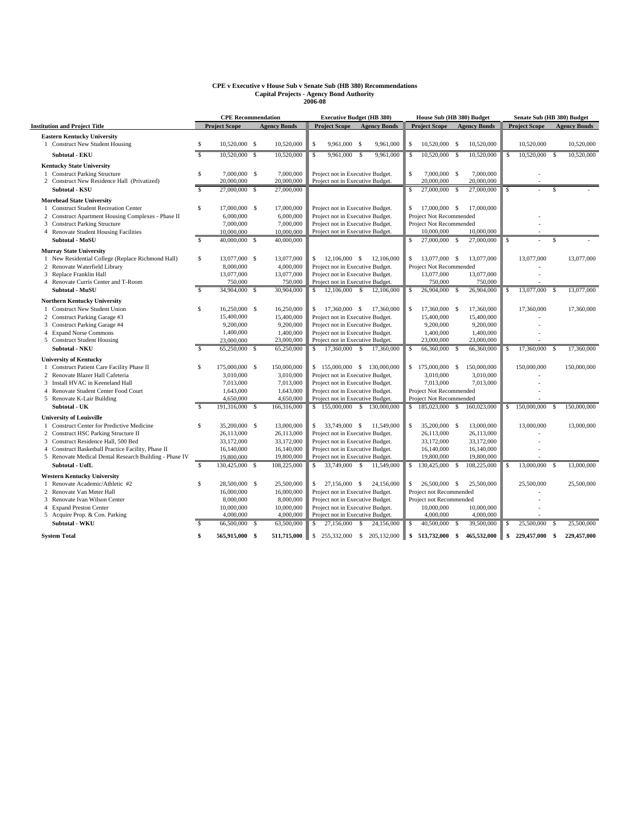# **CPE v Executive v House Sub v Senate Sub (HB 380) Recommendations Capital Projects - Agency Bond Authority 2006-08**

|                                                            | <b>CPE Recommendation</b> |                      |     | <b>Executive Budget (HB 380)</b> |              |                                  |              | House Sub (HB 380) Budget   |              |                                |               |                             | Senate Sub (HB 380) Budget |                      |      |                     |
|------------------------------------------------------------|---------------------------|----------------------|-----|----------------------------------|--------------|----------------------------------|--------------|-----------------------------|--------------|--------------------------------|---------------|-----------------------------|----------------------------|----------------------|------|---------------------|
| <b>Institution and Project Title</b>                       |                           | <b>Project Scope</b> |     | <b>Agency Bonds</b>              |              | <b>Project Scope</b>             |              | <b>Agency Bonds</b>         |              | <b>Project Scope</b>           |               | <b>Agency Bonds</b>         |                            | <b>Project Scope</b> |      | <b>Agency Bonds</b> |
| <b>Eastern Kentucky University</b>                         |                           |                      |     |                                  |              |                                  |              |                             |              |                                |               |                             |                            |                      |      |                     |
| 1 Construct New Student Housing                            | \$                        | 10,520,000 \$        |     | 10,520,000                       | S            | 9,961,000 \$                     |              | 9,961,000                   | s            | 10,520,000 \$                  |               | 10,520,000                  |                            | 10,520,000           |      | 10,520,000          |
| <b>Subtotal - EKU</b>                                      | $\mathcal{S}$             | 10,520,000 \$        |     | 10,520,000                       | S            | $9,961,000$ \$                   |              | 9,961,000                   | \$           | 10,520,000 \$                  |               | 10,520,000                  | $\mathbb{S}$               | 10,520,000 \$        |      | 10,520,000          |
| <b>Kentucky State University</b>                           |                           |                      |     |                                  |              |                                  |              |                             |              |                                |               |                             |                            |                      |      |                     |
| 1 Construct Parking Structure                              | \$                        | 7,000,000 \$         |     | 7,000,000                        |              | Project not in Executive Budget. |              |                             | $\mathsf{s}$ | 7,000,000 \$                   |               | 7,000,000                   |                            |                      |      |                     |
| 2 Construct New Residence Hall (Privatized)                |                           | 20,000,000           |     | 20,000,000                       |              | Project not in Executive Budget. |              |                             |              | 20,000,000                     |               | 20,000,000                  |                            |                      |      |                     |
| <b>Subtotal - KSU</b>                                      | $\mathcal{S}$             | 27,000,000 \$        |     | 27,000,000                       |              |                                  |              |                             | $\mathsf{s}$ | 27,000,000 \$                  |               | 27,000,000                  | க                          |                      | \$.  |                     |
| <b>Morehead State University</b>                           |                           |                      |     |                                  |              |                                  |              |                             |              |                                |               |                             |                            |                      |      |                     |
| <b>Construct Student Recreation Center</b><br>$\mathbf{1}$ | $\mathbb{S}$              | 17,000,000 \$        |     | 17,000,000                       |              | Project not in Executive Budget. |              |                             | s.           | 17,000,000 \$                  |               | 17,000,000                  |                            |                      |      |                     |
| 2 Construct Apartment Housing Complexes - Phase II         |                           | 6,000,000            |     | 6,000,000                        |              | Project not in Executive Budget. |              |                             |              | Project Not Recommended        |               |                             |                            |                      |      |                     |
| 3 Construct Parking Structure                              |                           | 7,000,000            |     | 7,000,000                        |              | Project not in Executive Budget. |              |                             |              | Project Not Recommended        |               |                             |                            |                      |      |                     |
| 4 Renovate Student Housing Facilities                      |                           | 10,000,000           |     | 10,000,000                       |              | Project not in Executive Budget. |              |                             |              | 10,000,000                     |               | 10,000,000                  |                            |                      |      |                     |
| Subtotal - MoSU                                            | $\mathcal{S}$             | 40,000,000 \$        |     | 40,000,000                       |              |                                  |              |                             | S            | 27,000,000 \$                  |               | 27,000,000                  | S                          |                      |      |                     |
| <b>Murray State University</b>                             |                           |                      |     |                                  |              |                                  |              |                             |              |                                |               |                             |                            |                      |      |                     |
| 1 New Residential College (Replace Richmond Hall)          | \$                        | 13,077,000 \$        |     | 13,077,000                       |              | $$12,106,000$ \$                 |              | 12,106,000                  |              | $$13,077,000$ \$               |               | 13,077,000                  |                            | 13,077,000           |      | 13,077,000          |
| 2 Renovate Waterfield Library                              |                           | 8,000,000            |     | 4,000,000                        |              | Project not in Executive Budget. |              |                             |              | Project Not Recommended        |               |                             |                            |                      |      |                     |
| 3 Replace Franklin Hall                                    |                           | 13,077,000           |     | 13,077,000                       |              | Project not in Executive Budget. |              |                             |              | 13,077,000                     |               | 13,077,000                  |                            |                      |      |                     |
| 4 Renovate Curris Center and T-Room                        |                           | 750,000              |     | 750,000                          |              | Project not in Executive Budget. |              |                             |              | 750,000                        |               | 750,000                     |                            |                      |      |                     |
| Subtotal - MuSU                                            | s.                        | 34,904,000 \$        |     | 30,904,000                       | S.           | 12,106,000 \$                    |              | 12,106,000                  | S            | 26,904,000 \$                  |               | 26,904,000                  | \$                         | 13,077,000 \$        |      | 13,077,000          |
| <b>Northern Kentucky University</b>                        |                           |                      |     |                                  |              |                                  |              |                             |              |                                |               |                             |                            |                      |      |                     |
| 1 Construct New Student Union                              | \$                        | 16,250,000 \$        |     | 16,250,000                       |              | $$17,360,000$ \$                 |              | 17,360,000                  | s.           | 17,360,000 \$                  |               | 17,360,000                  |                            | 17,360,000           |      | 17,360,000          |
| 2 Construct Parking Garage #3                              |                           | 15,400,000           |     | 15,400,000                       |              | Project not in Executive Budget. |              |                             |              | 15,400,000                     |               | 15,400,000                  |                            |                      |      |                     |
| 3 Construct Parking Garage #4                              |                           | 9,200,000            |     | 9,200,000                        |              | Project not in Executive Budget. |              |                             |              | 9,200,000                      |               | 9,200,000                   |                            |                      |      |                     |
| 4 Expand Norse Commons                                     |                           | 1,400,000            |     | 1,400,000                        |              | Project not in Executive Budget. |              |                             |              | 1,400,000                      |               | 1,400,000                   |                            |                      |      |                     |
| 5 Construct Student Housing                                |                           | 23,000,000           |     | 23,000,000                       |              | Project not in Executive Budget. |              |                             |              | 23,000,000                     |               | 23,000,000                  |                            |                      |      |                     |
| Subtotal - NKU                                             | \$.                       | 65,250,000 \$        |     | 65,250,000                       |              | 17,360,000 \$                    |              | 17,360,000                  | S            | 66,360,000                     | - \$          | 66,360,000                  | \$                         | 17,360,000           | - \$ | 17,360,000          |
| <b>University of Kentucky</b>                              |                           |                      |     |                                  |              |                                  |              |                             |              |                                |               |                             |                            |                      |      |                     |
| 1 Construct Patient Care Facility Phase II                 | \$                        | 175,000,000 \$       |     | 150,000,000                      |              |                                  |              | \$155,000,000 \$130,000,000 |              | \$175,000,000 \$               |               | 150,000,000                 |                            | 150,000,000          |      | 150,000,000         |
| 2 Renovate Blazer Hall Cafeteria                           |                           | 3.010.000            |     | 3,010,000                        |              | Project not in Executive Budget. |              |                             |              | 3,010,000                      |               | 3,010,000                   |                            |                      |      |                     |
| 3 Install HVAC in Keeneland Hall                           |                           | 7,013,000            |     | 7,013,000                        |              | Project not in Executive Budget. |              |                             |              | 7,013,000                      |               | 7,013,000                   |                            |                      |      |                     |
| 4 Renovate Student Center Food Court                       |                           | 1,643,000            |     | 1,643,000                        |              | Project not in Executive Budget. |              |                             |              | <b>Project Not Recommended</b> |               |                             |                            |                      |      |                     |
| 5 Renovate K-Lair Building                                 |                           | 4,650,000            |     | 4,650,000                        |              | Project not in Executive Budget. |              |                             |              | Project Not Recommended        |               |                             |                            |                      |      |                     |
| Subtotal - UK                                              | \$.                       | 191,316,000 \$       |     | 166,316,000                      |              |                                  |              | \$155,000,000 \$130,000,000 |              |                                |               | \$185,023,000 \$160,023,000 |                            | $$150,000,000$ \$    |      | 150,000,000         |
| <b>University of Louisville</b>                            |                           |                      |     |                                  |              |                                  |              |                             |              |                                |               |                             |                            |                      |      |                     |
| 1 Construct Center for Predictive Medicine                 | $\mathbb{S}$              | 35,200,000 \$        |     | 13,000,000                       |              | $$33,749,000$ \$                 |              | 11.549.000                  | $\mathsf{s}$ | 35,200,000 \$                  |               | 13,000,000                  |                            | 13,000,000           |      | 13,000,000          |
| 2 Construct HSC Parking Structure II                       |                           | 26,113,000           |     | 26,113,000                       |              | Project not in Executive Budget. |              |                             |              | 26,113,000                     |               | 26,113,000                  |                            |                      |      |                     |
| 3 Construct Residence Hall, 500 Bed                        |                           | 33,172,000           |     | 33,172,000                       |              | Project not in Executive Budget. |              |                             |              | 33,172,000                     |               | 33,172,000                  |                            |                      |      |                     |
| 4 Construct Basketball Practice Facility, Phase II         |                           | 16,140,000           |     | 16,140,000                       |              | Project not in Executive Budget. |              |                             |              | 16,140,000                     |               | 16,140,000                  |                            |                      |      |                     |
| 5 Renovate Medical Dental Research Building - Phase IV     |                           | 19,800,000           |     | 19,800,000                       |              | Project not in Executive Budget. |              |                             |              | 19,800,000                     |               | 19,800,000                  |                            |                      |      |                     |
| Subtotal - UofL                                            | \$                        | 130,425,000 \$       |     | 108,225,000                      | S            | 33,749,000 \$                    |              | 11,549,000                  | s            | 130,425,000                    | - \$          | 108,225,000                 | \$                         | 13,000,000           | - S  | 13,000,000          |
| <b>Western Kentucky University</b>                         |                           |                      |     |                                  |              |                                  |              |                             |              |                                |               |                             |                            |                      |      |                     |
| Renovate Academic/Athletic #2<br>$\mathbf{1}$              | $\mathbb{S}$              | 28,500,000 \$        |     | 25,500,000                       | $\mathbf{s}$ | 27,156,000 \$                    |              | 24,156,000                  |              | $$26,500,000$ \$               |               | 25,500,000                  |                            | 25,500,000           |      | 25,500,000          |
| 2 Renovate Van Meter Hall                                  |                           | 16,000,000           |     | 16,000,000                       |              | Project not in Executive Budget. |              |                             |              | Project not Recommended        |               |                             |                            |                      |      |                     |
| 3 Renovate Ivan Wilson Center                              |                           | 8,000,000            |     | 8,000,000                        |              | Project not in Executive Budget. |              |                             |              | Project not Recommended        |               |                             |                            |                      |      |                     |
| 4 Expand Preston Center                                    |                           | 10,000,000           |     | 10,000,000                       |              | Project not in Executive Budget. |              |                             |              | 10,000,000                     |               | 10,000,000                  |                            |                      |      |                     |
| 5 Acquire Prop. & Con. Parking                             |                           | 4,000,000            |     | 4,000,000                        |              | Project not in Executive Budget. |              |                             |              | 4,000,000                      |               | 4,000,000                   |                            |                      |      |                     |
| Subtotal - WKU                                             |                           | 66,500,000           | - S | 63,500,000                       | S            | 27,156,000                       | $\mathbf{s}$ | 24,156,000                  | S            | 40,500,000                     | <sup>\$</sup> | 39,500,000                  | \$                         | 25,500,000           | -S   | 25,500,000          |
| <b>System Total</b>                                        | $\mathbf{s}$              | 565,915,000 \$       |     | 511,715,000                      | $\mathsf{S}$ |                                  |              | 255,332,000 \$ 205,132,000  | \$           | 513,732,000 \$                 |               | 465,532,000                 | \$                         | 229,457,000 \$       |      | 229.457.000         |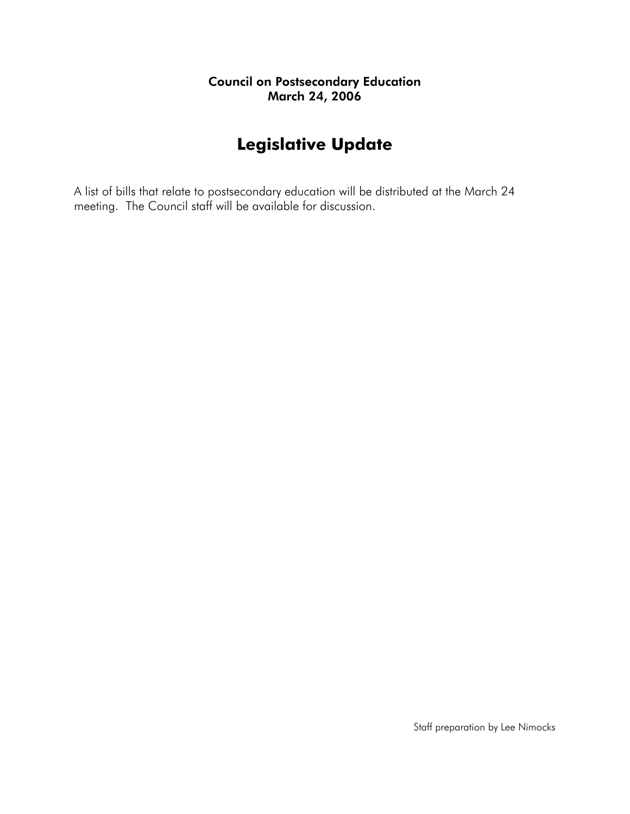# **Legislative Update**

A list of bills that relate to postsecondary education will be distributed at the March 24 meeting. The Council staff will be available for discussion.

Staff preparation by Lee Nimocks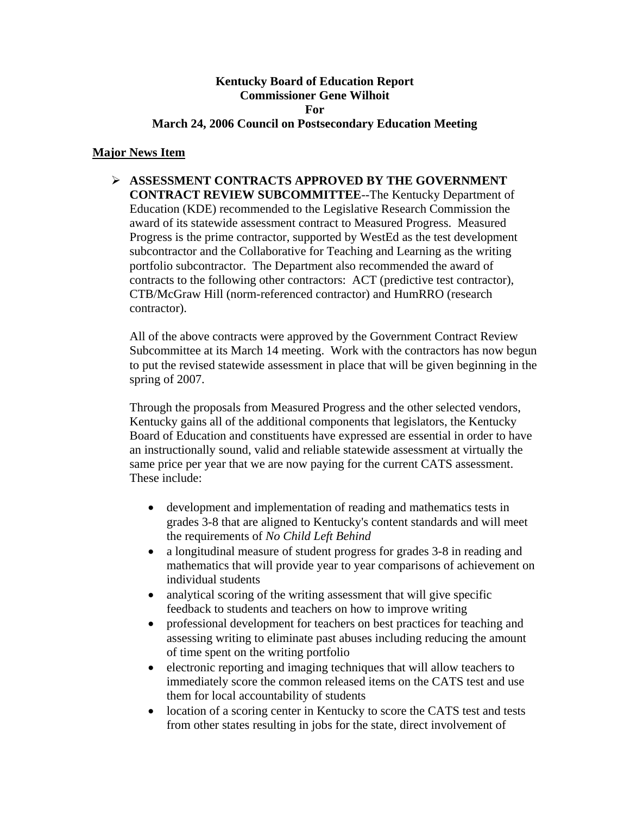#### **Kentucky Board of Education Report Commissioner Gene Wilhoit For March 24, 2006 Council on Postsecondary Education Meeting**

#### **Major News Item**

¾ **ASSESSMENT CONTRACTS APPROVED BY THE GOVERNMENT CONTRACT REVIEW SUBCOMMITTEE**--The Kentucky Department of Education (KDE) recommended to the Legislative Research Commission the award of its statewide assessment contract to Measured Progress. Measured Progress is the prime contractor, supported by WestEd as the test development subcontractor and the Collaborative for Teaching and Learning as the writing portfolio subcontractor. The Department also recommended the award of contracts to the following other contractors: ACT (predictive test contractor), CTB/McGraw Hill (norm-referenced contractor) and HumRRO (research contractor).

All of the above contracts were approved by the Government Contract Review Subcommittee at its March 14 meeting. Work with the contractors has now begun to put the revised statewide assessment in place that will be given beginning in the spring of 2007.

Through the proposals from Measured Progress and the other selected vendors, Kentucky gains all of the additional components that legislators, the Kentucky Board of Education and constituents have expressed are essential in order to have an instructionally sound, valid and reliable statewide assessment at virtually the same price per year that we are now paying for the current CATS assessment. These include:

- development and implementation of reading and mathematics tests in grades 3-8 that are aligned to Kentucky's content standards and will meet the requirements of *No Child Left Behind*
- a longitudinal measure of student progress for grades 3-8 in reading and mathematics that will provide year to year comparisons of achievement on individual students
- analytical scoring of the writing assessment that will give specific feedback to students and teachers on how to improve writing
- professional development for teachers on best practices for teaching and assessing writing to eliminate past abuses including reducing the amount of time spent on the writing portfolio
- electronic reporting and imaging techniques that will allow teachers to immediately score the common released items on the CATS test and use them for local accountability of students
- location of a scoring center in Kentucky to score the CATS test and tests from other states resulting in jobs for the state, direct involvement of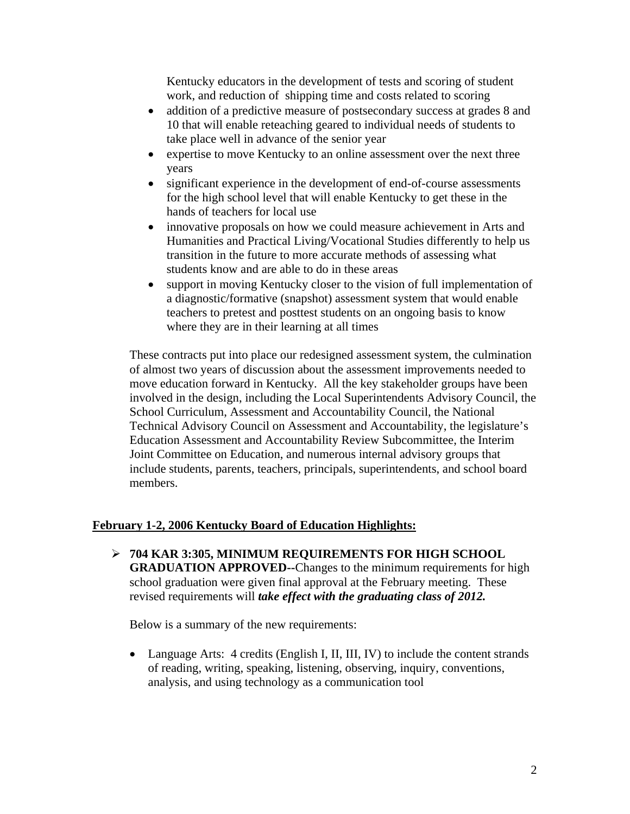Kentucky educators in the development of tests and scoring of student work, and reduction of shipping time and costs related to scoring

- addition of a predictive measure of postsecondary success at grades 8 and 10 that will enable reteaching geared to individual needs of students to take place well in advance of the senior year
- expertise to move Kentucky to an online assessment over the next three years
- significant experience in the development of end-of-course assessments for the high school level that will enable Kentucky to get these in the hands of teachers for local use
- innovative proposals on how we could measure achievement in Arts and Humanities and Practical Living/Vocational Studies differently to help us transition in the future to more accurate methods of assessing what students know and are able to do in these areas
- support in moving Kentucky closer to the vision of full implementation of a diagnostic/formative (snapshot) assessment system that would enable teachers to pretest and posttest students on an ongoing basis to know where they are in their learning at all times

These contracts put into place our redesigned assessment system, the culmination of almost two years of discussion about the assessment improvements needed to move education forward in Kentucky. All the key stakeholder groups have been involved in the design, including the Local Superintendents Advisory Council, the School Curriculum, Assessment and Accountability Council, the National Technical Advisory Council on Assessment and Accountability, the legislature's Education Assessment and Accountability Review Subcommittee, the Interim Joint Committee on Education, and numerous internal advisory groups that include students, parents, teachers, principals, superintendents, and school board members.

#### **February 1-2, 2006 Kentucky Board of Education Highlights:**

¾ **704 KAR 3:305, MINIMUM REQUIREMENTS FOR HIGH SCHOOL GRADUATION APPROVED--**Changes to the minimum requirements for high school graduation were given final approval at the February meeting. These revised requirements will *take effect with the graduating class of 2012.*

Below is a summary of the new requirements:

• Language Arts: 4 credits (English I, II, III, IV) to include the content strands of reading, writing, speaking, listening, observing, inquiry, conventions, analysis, and using technology as a communication tool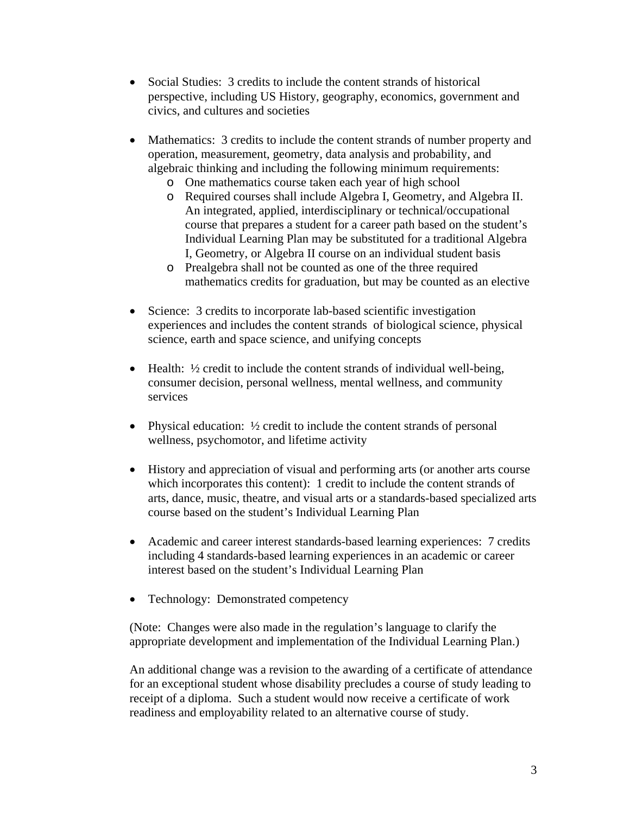- Social Studies: 3 credits to include the content strands of historical perspective, including US History, geography, economics, government and civics, and cultures and societies
- Mathematics: 3 credits to include the content strands of number property and operation, measurement, geometry, data analysis and probability, and algebraic thinking and including the following minimum requirements:
	- o One mathematics course taken each year of high school
	- o Required courses shall include Algebra I, Geometry, and Algebra II. An integrated, applied, interdisciplinary or technical/occupational course that prepares a student for a career path based on the student's Individual Learning Plan may be substituted for a traditional Algebra I, Geometry, or Algebra II course on an individual student basis
	- o Prealgebra shall not be counted as one of the three required mathematics credits for graduation, but may be counted as an elective
- Science: 3 credits to incorporate lab-based scientific investigation experiences and includes the content strands of biological science, physical science, earth and space science, and unifying concepts
- Health: ½ credit to include the content strands of individual well-being, consumer decision, personal wellness, mental wellness, and community services
- Physical education:  $\frac{1}{2}$  credit to include the content strands of personal wellness, psychomotor, and lifetime activity
- History and appreciation of visual and performing arts (or another arts course which incorporates this content): 1 credit to include the content strands of arts, dance, music, theatre, and visual arts or a standards-based specialized arts course based on the student's Individual Learning Plan
- Academic and career interest standards-based learning experiences: 7 credits including 4 standards-based learning experiences in an academic or career interest based on the student's Individual Learning Plan
- Technology: Demonstrated competency

(Note: Changes were also made in the regulation's language to clarify the appropriate development and implementation of the Individual Learning Plan.)

An additional change was a revision to the awarding of a certificate of attendance for an exceptional student whose disability precludes a course of study leading to receipt of a diploma. Such a student would now receive a certificate of work readiness and employability related to an alternative course of study.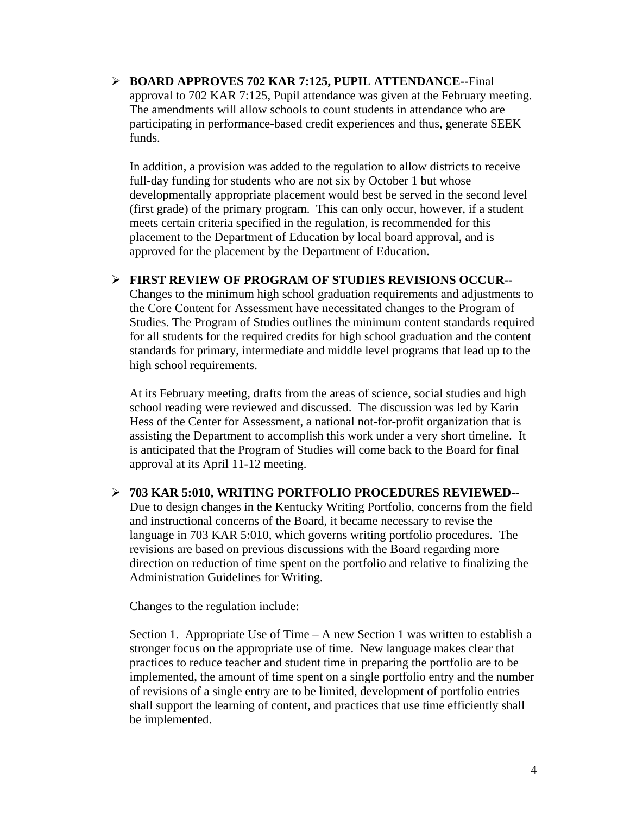¾ **BOARD APPROVES 702 KAR 7:125, PUPIL ATTENDANCE--**Final approval to 702 KAR 7:125, Pupil attendance was given at the February meeting. The amendments will allow schools to count students in attendance who are participating in performance-based credit experiences and thus, generate SEEK funds.

In addition, a provision was added to the regulation to allow districts to receive full-day funding for students who are not six by October 1 but whose developmentally appropriate placement would best be served in the second level (first grade) of the primary program. This can only occur, however, if a student meets certain criteria specified in the regulation, is recommended for this placement to the Department of Education by local board approval, and is approved for the placement by the Department of Education.

#### ¾ **FIRST REVIEW OF PROGRAM OF STUDIES REVISIONS OCCUR--**

Changes to the minimum high school graduation requirements and adjustments to the Core Content for Assessment have necessitated changes to the Program of Studies. The Program of Studies outlines the minimum content standards required for all students for the required credits for high school graduation and the content standards for primary, intermediate and middle level programs that lead up to the high school requirements.

At its February meeting, drafts from the areas of science, social studies and high school reading were reviewed and discussed. The discussion was led by Karin Hess of the Center for Assessment, a national not-for-profit organization that is assisting the Department to accomplish this work under a very short timeline. It is anticipated that the Program of Studies will come back to the Board for final approval at its April 11-12 meeting.

#### ¾ **703 KAR 5:010, WRITING PORTFOLIO PROCEDURES REVIEWED--**

Due to design changes in the Kentucky Writing Portfolio, concerns from the field and instructional concerns of the Board, it became necessary to revise the language in 703 KAR 5:010, which governs writing portfolio procedures. The revisions are based on previous discussions with the Board regarding more direction on reduction of time spent on the portfolio and relative to finalizing the Administration Guidelines for Writing.

Changes to the regulation include:

Section 1. Appropriate Use of Time – A new Section 1 was written to establish a stronger focus on the appropriate use of time. New language makes clear that practices to reduce teacher and student time in preparing the portfolio are to be implemented, the amount of time spent on a single portfolio entry and the number of revisions of a single entry are to be limited, development of portfolio entries shall support the learning of content, and practices that use time efficiently shall be implemented.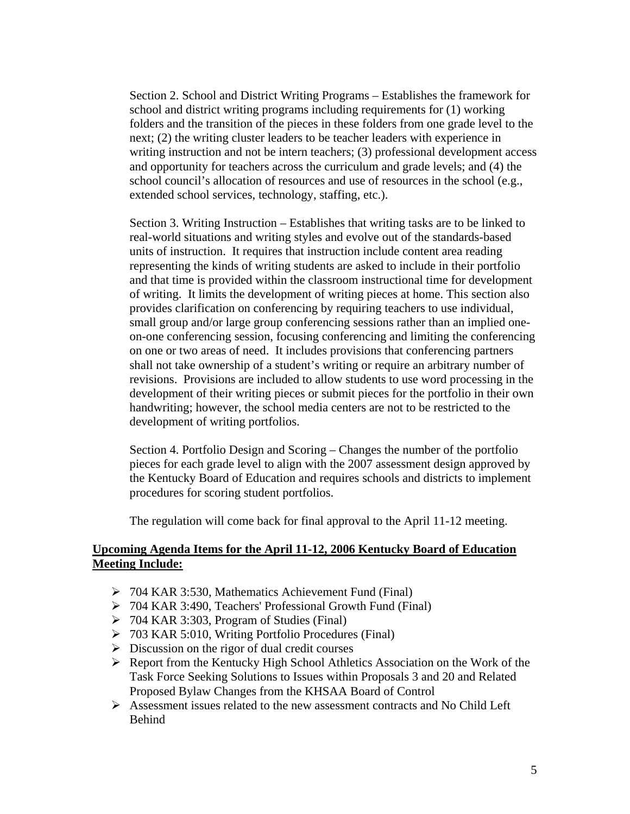Section 2. School and District Writing Programs – Establishes the framework for school and district writing programs including requirements for (1) working folders and the transition of the pieces in these folders from one grade level to the next; (2) the writing cluster leaders to be teacher leaders with experience in writing instruction and not be intern teachers; (3) professional development access and opportunity for teachers across the curriculum and grade levels; and (4) the school council's allocation of resources and use of resources in the school (e.g., extended school services, technology, staffing, etc.).

Section 3. Writing Instruction – Establishes that writing tasks are to be linked to real-world situations and writing styles and evolve out of the standards-based units of instruction. It requires that instruction include content area reading representing the kinds of writing students are asked to include in their portfolio and that time is provided within the classroom instructional time for development of writing. It limits the development of writing pieces at home. This section also provides clarification on conferencing by requiring teachers to use individual, small group and/or large group conferencing sessions rather than an implied oneon-one conferencing session, focusing conferencing and limiting the conferencing on one or two areas of need. It includes provisions that conferencing partners shall not take ownership of a student's writing or require an arbitrary number of revisions. Provisions are included to allow students to use word processing in the development of their writing pieces or submit pieces for the portfolio in their own handwriting; however, the school media centers are not to be restricted to the development of writing portfolios.

Section 4. Portfolio Design and Scoring – Changes the number of the portfolio pieces for each grade level to align with the 2007 assessment design approved by the Kentucky Board of Education and requires schools and districts to implement procedures for scoring student portfolios.

The regulation will come back for final approval to the April 11-12 meeting.

#### **Upcoming Agenda Items for the April 11-12, 2006 Kentucky Board of Education Meeting Include:**

- ¾ 704 KAR 3:530, Mathematics Achievement Fund (Final)
- ¾ 704 KAR 3:490, Teachers' Professional Growth Fund (Final)
- $\geq$  704 KAR 3:303, Program of Studies (Final)
- ¾ 703 KAR 5:010, Writing Portfolio Procedures (Final)
- $\triangleright$  Discussion on the rigor of dual credit courses
- $\triangleright$  Report from the Kentucky High School Athletics Association on the Work of the Task Force Seeking Solutions to Issues within Proposals 3 and 20 and Related Proposed Bylaw Changes from the KHSAA Board of Control
- $\triangleright$  Assessment issues related to the new assessment contracts and No Child Left Behind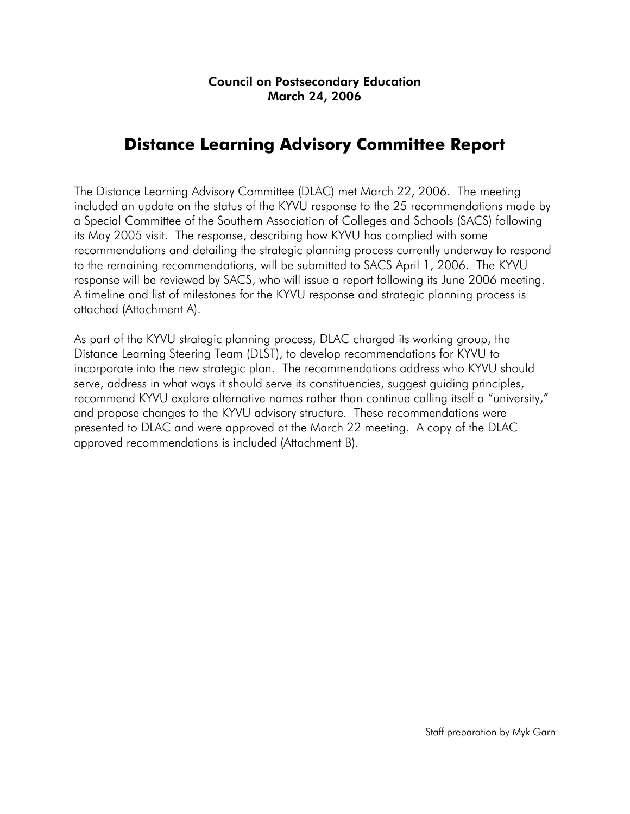# **Distance Learning Advisory Committee Report**

The Distance Learning Advisory Committee (DLAC) met March 22, 2006. The meeting included an update on the status of the KYVU response to the 25 recommendations made by a Special Committee of the Southern Association of Colleges and Schools (SACS) following its May 2005 visit. The response, describing how KYVU has complied with some recommendations and detailing the strategic planning process currently underway to respond to the remaining recommendations, will be submitted to SACS April 1, 2006. The KYVU response will be reviewed by SACS, who will issue a report following its June 2006 meeting. A timeline and list of milestones for the KYVU response and strategic planning process is attached (Attachment A).

As part of the KYVU strategic planning process, DLAC charged its working group, the Distance Learning Steering Team (DLST), to develop recommendations for KYVU to incorporate into the new strategic plan. The recommendations address who KYVU should serve, address in what ways it should serve its constituencies, suggest guiding principles, recommend KYVU explore alternative names rather than continue calling itself a "university," and propose changes to the KYVU advisory structure. These recommendations were presented to DLAC and were approved at the March 22 meeting. A copy of the DLAC approved recommendations is included (Attachment B).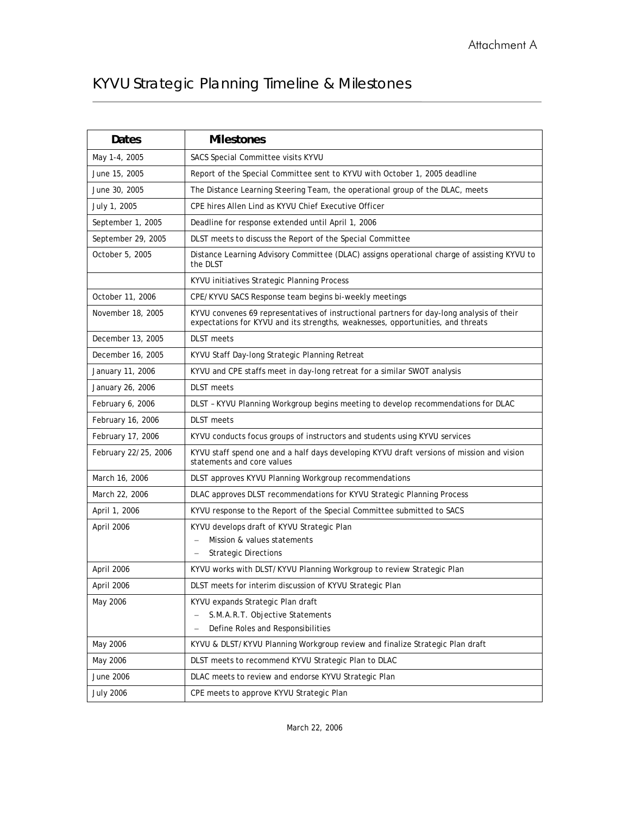# KYVU Strategic Planning Timeline & Milestones

| Dates                | <b>Milestones</b>                                                                                                                                                            |
|----------------------|------------------------------------------------------------------------------------------------------------------------------------------------------------------------------|
| May 1-4, 2005        | SACS Special Committee visits KYVU                                                                                                                                           |
| June 15, 2005        | Report of the Special Committee sent to KYVU with October 1, 2005 deadline                                                                                                   |
| June 30, 2005        | The Distance Learning Steering Team, the operational group of the DLAC, meets                                                                                                |
| July 1, 2005         | CPE hires Allen Lind as KYVU Chief Executive Officer                                                                                                                         |
| September 1, 2005    | Deadline for response extended until April 1, 2006                                                                                                                           |
| September 29, 2005   | DLST meets to discuss the Report of the Special Committee                                                                                                                    |
| October 5, 2005      | Distance Learning Advisory Committee (DLAC) assigns operational charge of assisting KYVU to<br>the DLST                                                                      |
|                      | KYVU initiatives Strategic Planning Process                                                                                                                                  |
| October 11, 2006     | CPE/KYVU SACS Response team begins bi-weekly meetings                                                                                                                        |
| November 18, 2005    | KYVU convenes 69 representatives of instructional partners for day-long analysis of their<br>expectations for KYVU and its strengths, weaknesses, opportunities, and threats |
| December 13, 2005    | <b>DLST</b> meets                                                                                                                                                            |
| December 16, 2005    | KYVU Staff Day-long Strategic Planning Retreat                                                                                                                               |
| January 11, 2006     | KYVU and CPE staffs meet in day-long retreat for a similar SWOT analysis                                                                                                     |
| January 26, 2006     | <b>DLST</b> meets                                                                                                                                                            |
| February 6, 2006     | DLST - KYVU Planning Workgroup begins meeting to develop recommendations for DLAC                                                                                            |
| February 16, 2006    | <b>DLST</b> meets                                                                                                                                                            |
| February 17, 2006    | KYVU conducts focus groups of instructors and students using KYVU services                                                                                                   |
| February 22/25, 2006 | KYVU staff spend one and a half days developing KYVU draft versions of mission and vision<br>statements and core values                                                      |
| March 16, 2006       | DLST approves KYVU Planning Workgroup recommendations                                                                                                                        |
| March 22, 2006       | DLAC approves DLST recommendations for KYVU Strategic Planning Process                                                                                                       |
| April 1, 2006        | KYVU response to the Report of the Special Committee submitted to SACS                                                                                                       |
| April 2006           | KYVU develops draft of KYVU Strategic Plan<br>Mission & values statements<br><b>Strategic Directions</b>                                                                     |
| April 2006           | KYVU works with DLST/KYVU Planning Workgroup to review Strategic Plan                                                                                                        |
| April 2006           | DLST meets for interim discussion of KYVU Strategic Plan                                                                                                                     |
| May 2006             | KYVU expands Strategic Plan draft<br>S.M.A.R.T. Objective Statements<br>Define Roles and Responsibilities                                                                    |
| May 2006             | KYVU & DLST/KYVU Planning Workgroup review and finalize Strategic Plan draft                                                                                                 |
| May 2006             | DLST meets to recommend KYVU Strategic Plan to DLAC                                                                                                                          |
| June 2006            | DLAC meets to review and endorse KYVU Strategic Plan                                                                                                                         |
| <b>July 2006</b>     | CPE meets to approve KYVU Strategic Plan                                                                                                                                     |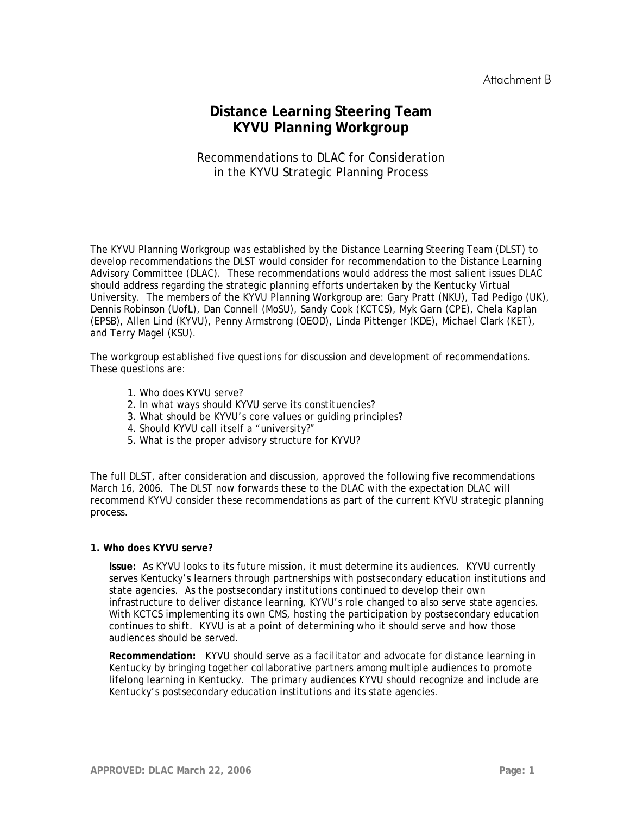## **Distance Learning Steering Team KYVU Planning Workgroup**

#### Recommendations to DLAC for Consideration in the KYVU Strategic Planning Process

The KYVU Planning Workgroup was established by the Distance Learning Steering Team (DLST) to develop recommendations the DLST would consider for recommendation to the Distance Learning Advisory Committee (DLAC). These recommendations would address the most salient issues DLAC should address regarding the strategic planning efforts undertaken by the Kentucky Virtual University. The members of the KYVU Planning Workgroup are: Gary Pratt (NKU), Tad Pedigo (UK), Dennis Robinson (UofL), Dan Connell (MoSU), Sandy Cook (KCTCS), Myk Garn (CPE), Chela Kaplan (EPSB), Allen Lind (KYVU), Penny Armstrong (OEOD), Linda Pittenger (KDE), Michael Clark (KET), and Terry Magel (KSU).

The workgroup established five questions for discussion and development of recommendations. These questions are:

- 1. Who does KYVU serve?
- 2. In what ways should KYVU serve its constituencies?
- 3. What should be KYVU's core values or guiding principles?
- 4. Should KYVU call itself a "university?"
- 5. What is the proper advisory structure for KYVU?

The full DLST, after consideration and discussion, approved the following five recommendations March 16, 2006. The DLST now forwards these to the DLAC with the expectation DLAC will recommend KYVU consider these recommendations as part of the current KYVU strategic planning process.

#### **1. Who does KYVU serve?**

**Issue:** As KYVU looks to its future mission, it must determine its audiences. KYVU currently serves Kentucky's learners through partnerships with postsecondary education institutions and state agencies. As the postsecondary institutions continued to develop their own infrastructure to deliver distance learning, KYVU's role changed to also serve state agencies. With KCTCS implementing its own CMS, hosting the participation by postsecondary education continues to shift. KYVU is at a point of determining who it should serve and how those audiences should be served.

**Recommendation:** KYVU should serve as a facilitator and advocate for distance learning in Kentucky by bringing together collaborative partners among multiple audiences to promote lifelong learning in Kentucky. The primary audiences KYVU should recognize and include are Kentucky's postsecondary education institutions and its state agencies.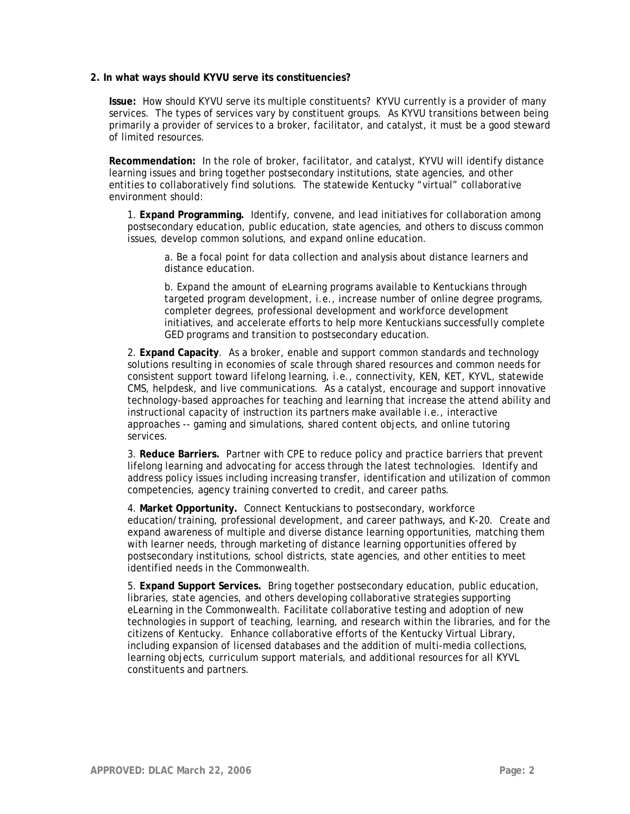#### **2. In what ways should KYVU serve its constituencies?**

**Issue:** How should KYVU serve its multiple constituents? KYVU currently is a provider of many services. The types of services vary by constituent groups. As KYVU transitions between being primarily a provider of services to a broker, facilitator, and catalyst, it must be a good steward of limited resources.

**Recommendation:** In the role of broker, facilitator, and catalyst, KYVU will identify distance learning issues and bring together postsecondary institutions, state agencies, and other entities to collaboratively find solutions. The statewide Kentucky "virtual" collaborative environment should:

1. **Expand Programming.** Identify, convene, and lead initiatives for collaboration among postsecondary education, public education, state agencies, and others to discuss common issues, develop common solutions, and expand online education.

a. Be a focal point for data collection and analysis about distance learners and distance education.

b. Expand the amount of eLearning programs available to Kentuckians through targeted program development, i.e., increase number of online degree programs, completer degrees, professional development and workforce development initiatives, and accelerate efforts to help more Kentuckians successfully complete GED programs and transition to postsecondary education.

2. **Expand Capacity**. As a broker, enable and support common standards and technology solutions resulting in economies of scale through shared resources and common needs for consistent support toward lifelong learning, i.e., connectivity, KEN, KET, KYVL, statewide CMS, helpdesk, and live communications. As a catalyst, encourage and support innovative technology-based approaches for teaching and learning that increase the attend ability and instructional capacity of instruction its partners make available i.e., interactive approaches -- gaming and simulations, shared content objects, and online tutoring services.

3. **Reduce Barriers.** Partner with CPE to reduce policy and practice barriers that prevent lifelong learning and advocating for access through the latest technologies. Identify and address policy issues including increasing transfer, identification and utilization of common competencies, agency training converted to credit, and career paths.

4. **Market Opportunity.** Connect Kentuckians to postsecondary, workforce education/training, professional development, and career pathways, and K-20. Create and expand awareness of multiple and diverse distance learning opportunities, matching them with learner needs, through marketing of distance learning opportunities offered by postsecondary institutions, school districts, state agencies, and other entities to meet identified needs in the Commonwealth.

5. **Expand Support Services.** Bring together postsecondary education, public education, libraries, state agencies, and others developing collaborative strategies supporting eLearning in the Commonwealth. Facilitate collaborative testing and adoption of new technologies in support of teaching, learning, and research within the libraries, and for the citizens of Kentucky. Enhance collaborative efforts of the Kentucky Virtual Library, including expansion of licensed databases and the addition of multi-media collections, learning objects, curriculum support materials, and additional resources for all KYVL constituents and partners.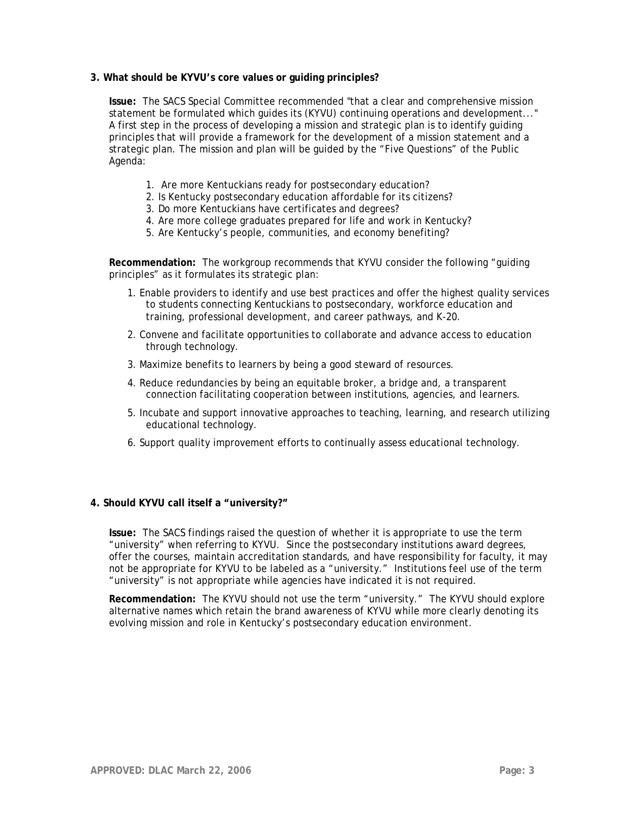#### **3. What should be KYVU's core values or guiding principles?**

**Issue:** The SACS Special Committee recommended "that a clear and comprehensive mission statement be formulated which guides its (KYVU) continuing operations and development..." A first step in the process of developing a mission and strategic plan is to identify guiding principles that will provide a framework for the development of a mission statement and a strategic plan. The mission and plan will be guided by the "Five Questions" of the Public Agenda:

- 1. Are more Kentuckians ready for postsecondary education?
- 2. Is Kentucky postsecondary education affordable for its citizens?
- 3. Do more Kentuckians have certificates and degrees?
- 4. Are more college graduates prepared for life and work in Kentucky?
- 5. Are Kentucky's people, communities, and economy benefiting?

**Recommendation:** The workgroup recommends that KYVU consider the following "guiding principles" as it formulates its strategic plan:

- 1. Enable providers to identify and use best practices and offer the highest quality services to students connecting Kentuckians to postsecondary, workforce education and training, professional development, and career pathways, and K-20.
- 2. Convene and facilitate opportunities to collaborate and advance access to education through technology.
- 3. Maximize benefits to learners by being a good steward of resources.
- 4. Reduce redundancies by being an equitable broker, a bridge and, a transparent connection facilitating cooperation between institutions, agencies, and learners.
- 5. Incubate and support innovative approaches to teaching, learning, and research utilizing educational technology.
- 6. Support quality improvement efforts to continually assess educational technology.

#### **4. Should KYVU call itself a "university?"**

**Issue:** The SACS findings raised the question of whether it is appropriate to use the term "university" when referring to KYVU. Since the postsecondary institutions award degrees, offer the courses, maintain accreditation standards, and have responsibility for faculty, it may not be appropriate for KYVU to be labeled as a "university." Institutions feel use of the term "university" is not appropriate while agencies have indicated it is not required.

**Recommendation:** The KYVU should not use the term "university." The KYVU should explore alternative names which retain the brand awareness of KYVU while more clearly denoting its evolving mission and role in Kentucky's postsecondary education environment.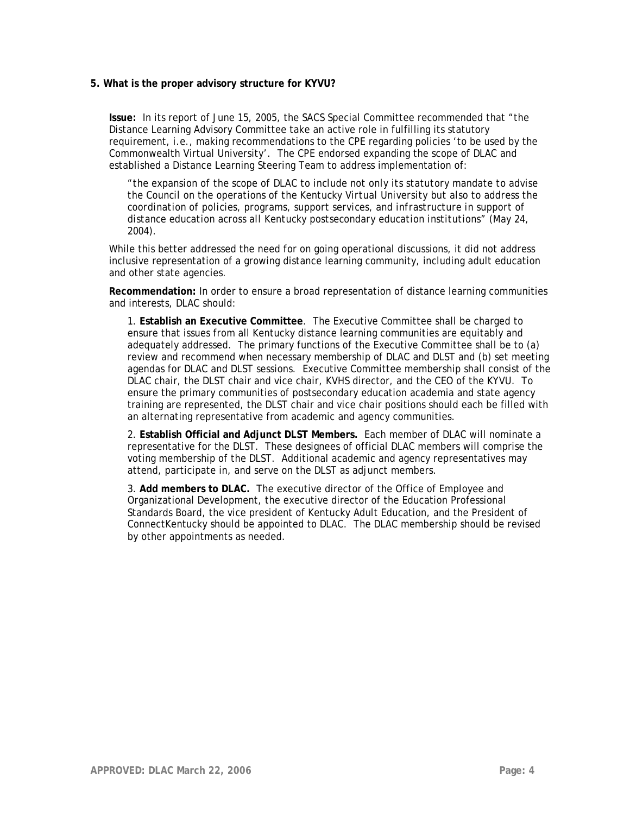#### **5. What is the proper advisory structure for KYVU?**

**Issue:** In its report of June 15, 2005, the SACS Special Committee recommended that "the Distance Learning Advisory Committee take an active role in fulfilling its statutory requirement, i.e., making recommendations to the CPE regarding policies 'to be used by the Commonwealth Virtual University'. The CPE endorsed expanding the scope of DLAC and established a Distance Learning Steering Team to address implementation of:

*"the expansion of the scope of DLAC to include not only its statutory mandate to advise the Council on the operations of the Kentucky Virtual University but also to address the coordination of policies, programs, support services, and infrastructure in support of distance education across all Kentucky postsecondary education institutions" (May 24, 2004).* 

While this better addressed the need for on going operational discussions, it did not address inclusive representation of a growing distance learning community, including adult education and other state agencies.

**Recommendation:** In order to ensure a broad representation of distance learning communities and interests, DLAC should:

1. **Establish an Executive Committee**. The Executive Committee shall be charged to ensure that issues from all Kentucky distance learning communities are equitably and adequately addressed. The primary functions of the Executive Committee shall be to (a) review and recommend when necessary membership of DLAC and DLST and (b) set meeting agendas for DLAC and DLST sessions. Executive Committee membership shall consist of the DLAC chair, the DLST chair and vice chair, KVHS director, and the CEO of the KYVU. To ensure the primary communities of postsecondary education academia and state agency training are represented, the DLST chair and vice chair positions should each be filled with an alternating representative from academic and agency communities.

2. **Establish Official and Adjunct DLST Members.** Each member of DLAC will nominate a representative for the DLST. These designees of official DLAC members will comprise the voting membership of the DLST. Additional academic and agency representatives may attend, participate in, and serve on the DLST as adjunct members.

3. **Add members to DLAC.** The executive director of the Office of Employee and Organizational Development, the executive director of the Education Professional Standards Board, the vice president of Kentucky Adult Education, and the President of ConnectKentucky should be appointed to DLAC. The DLAC membership should be revised by other appointments as needed.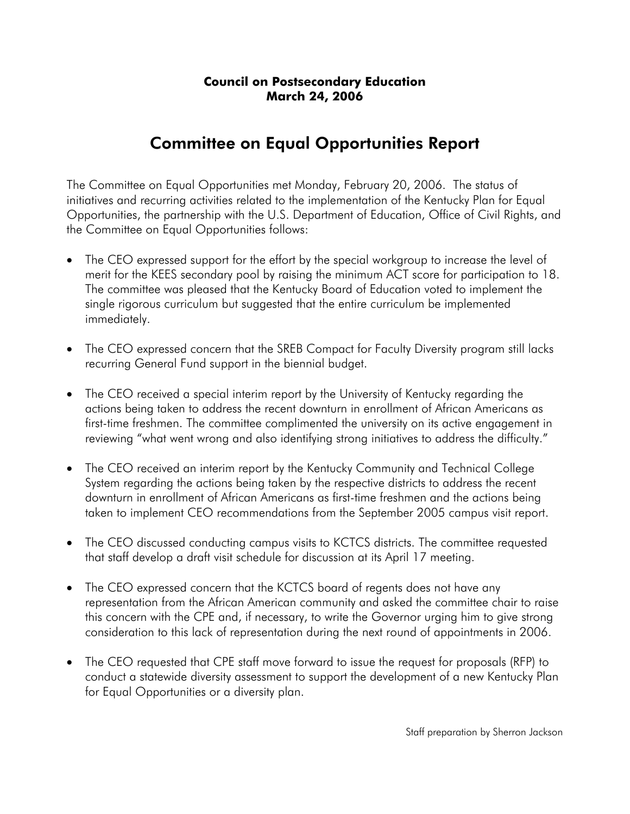# Committee on Equal Opportunities Report

The Committee on Equal Opportunities met Monday, February 20, 2006. The status of initiatives and recurring activities related to the implementation of the Kentucky Plan for Equal Opportunities, the partnership with the U.S. Department of Education, Office of Civil Rights, and the Committee on Equal Opportunities follows:

- The CEO expressed support for the effort by the special workgroup to increase the level of merit for the KEES secondary pool by raising the minimum ACT score for participation to 18. The committee was pleased that the Kentucky Board of Education voted to implement the single rigorous curriculum but suggested that the entire curriculum be implemented immediately.
- The CEO expressed concern that the SREB Compact for Faculty Diversity program still lacks recurring General Fund support in the biennial budget.
- The CEO received a special interim report by the University of Kentucky regarding the actions being taken to address the recent downturn in enrollment of African Americans as first-time freshmen. The committee complimented the university on its active engagement in reviewing "what went wrong and also identifying strong initiatives to address the difficulty."
- The CEO received an interim report by the Kentucky Community and Technical College System regarding the actions being taken by the respective districts to address the recent downturn in enrollment of African Americans as first-time freshmen and the actions being taken to implement CEO recommendations from the September 2005 campus visit report.
- The CEO discussed conducting campus visits to KCTCS districts. The committee requested that staff develop a draft visit schedule for discussion at its April 17 meeting.
- The CEO expressed concern that the KCTCS board of regents does not have any representation from the African American community and asked the committee chair to raise this concern with the CPE and, if necessary, to write the Governor urging him to give strong consideration to this lack of representation during the next round of appointments in 2006.
- The CEO requested that CPE staff move forward to issue the request for proposals (RFP) to conduct a statewide diversity assessment to support the development of a new Kentucky Plan for Equal Opportunities or a diversity plan.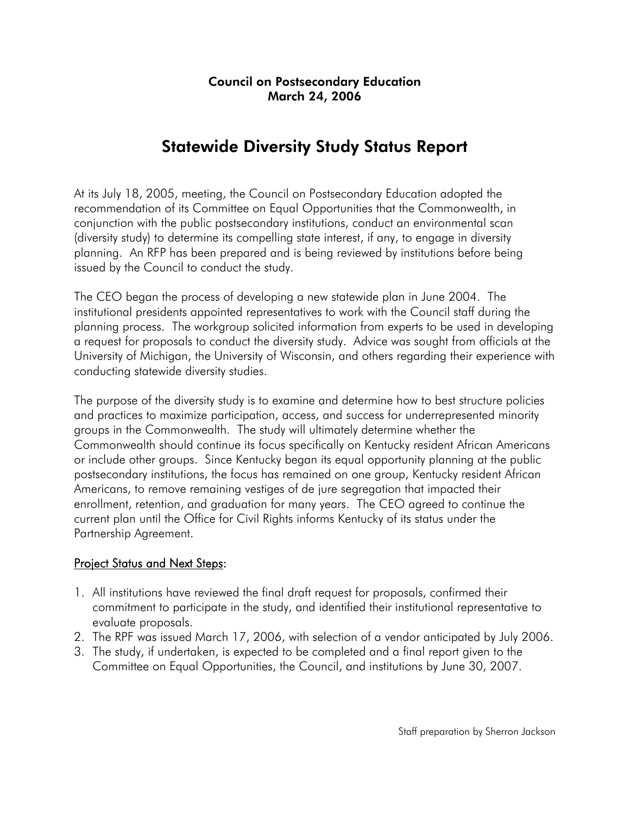# Statewide Diversity Study Status Report

At its July 18, 2005, meeting, the Council on Postsecondary Education adopted the recommendation of its Committee on Equal Opportunities that the Commonwealth, in conjunction with the public postsecondary institutions, conduct an environmental scan (diversity study) to determine its compelling state interest, if any, to engage in diversity planning. An RFP has been prepared and is being reviewed by institutions before being issued by the Council to conduct the study.

The CEO began the process of developing a new statewide plan in June 2004. The institutional presidents appointed representatives to work with the Council staff during the planning process. The workgroup solicited information from experts to be used in developing a request for proposals to conduct the diversity study. Advice was sought from officials at the University of Michigan, the University of Wisconsin, and others regarding their experience with conducting statewide diversity studies.

The purpose of the diversity study is to examine and determine how to best structure policies and practices to maximize participation, access, and success for underrepresented minority groups in the Commonwealth. The study will ultimately determine whether the Commonwealth should continue its focus specifically on Kentucky resident African Americans or include other groups. Since Kentucky began its equal opportunity planning at the public postsecondary institutions, the focus has remained on one group, Kentucky resident African Americans, to remove remaining vestiges of de jure segregation that impacted their enrollment, retention, and graduation for many years. The CEO agreed to continue the current plan until the Office for Civil Rights informs Kentucky of its status under the Partnership Agreement.

#### Project Status and Next Steps:

- 1. All institutions have reviewed the final draft request for proposals, confirmed their commitment to participate in the study, and identified their institutional representative to evaluate proposals.
- 2. The RPF was issued March 17, 2006, with selection of a vendor anticipated by July 2006.
- 3. The study, if undertaken, is expected to be completed and a final report given to the Committee on Equal Opportunities, the Council, and institutions by June 30, 2007.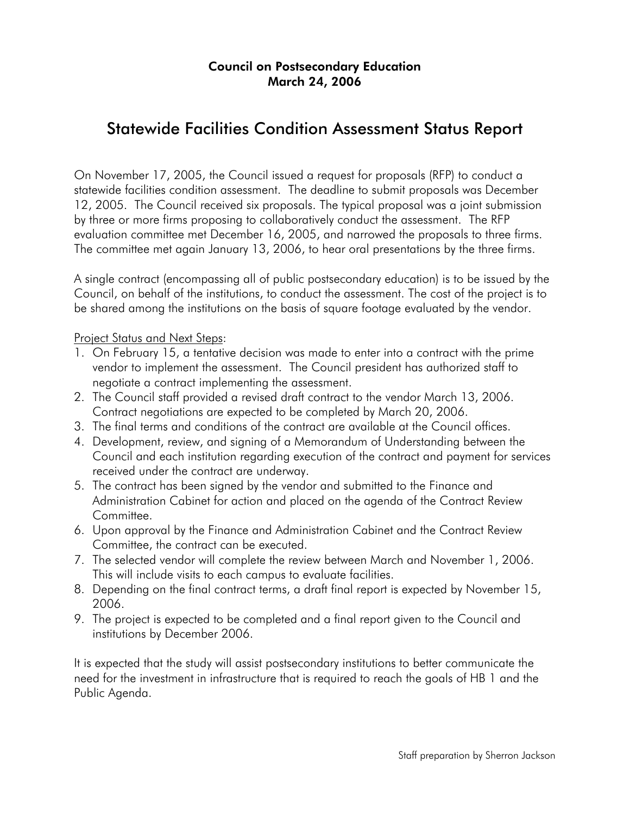## Statewide Facilities Condition Assessment Status Report

On November 17, 2005, the Council issued a request for proposals (RFP) to conduct a statewide facilities condition assessment. The deadline to submit proposals was December 12, 2005. The Council received six proposals. The typical proposal was a joint submission by three or more firms proposing to collaboratively conduct the assessment. The RFP evaluation committee met December 16, 2005, and narrowed the proposals to three firms. The committee met again January 13, 2006, to hear oral presentations by the three firms.

A single contract (encompassing all of public postsecondary education) is to be issued by the Council, on behalf of the institutions, to conduct the assessment. The cost of the project is to be shared among the institutions on the basis of square footage evaluated by the vendor.

Project Status and Next Steps:

- 1. On February 15, a tentative decision was made to enter into a contract with the prime vendor to implement the assessment. The Council president has authorized staff to negotiate a contract implementing the assessment.
- 2. The Council staff provided a revised draft contract to the vendor March 13, 2006. Contract negotiations are expected to be completed by March 20, 2006.
- 3. The final terms and conditions of the contract are available at the Council offices.
- 4. Development, review, and signing of a Memorandum of Understanding between the Council and each institution regarding execution of the contract and payment for services received under the contract are underway.
- 5. The contract has been signed by the vendor and submitted to the Finance and Administration Cabinet for action and placed on the agenda of the Contract Review Committee.
- 6. Upon approval by the Finance and Administration Cabinet and the Contract Review Committee, the contract can be executed.
- 7. The selected vendor will complete the review between March and November 1, 2006. This will include visits to each campus to evaluate facilities.
- 8. Depending on the final contract terms, a draft final report is expected by November 15, 2006.
- 9. The project is expected to be completed and a final report given to the Council and institutions by December 2006.

It is expected that the study will assist postsecondary institutions to better communicate the need for the investment in infrastructure that is required to reach the goals of HB 1 and the Public Agenda.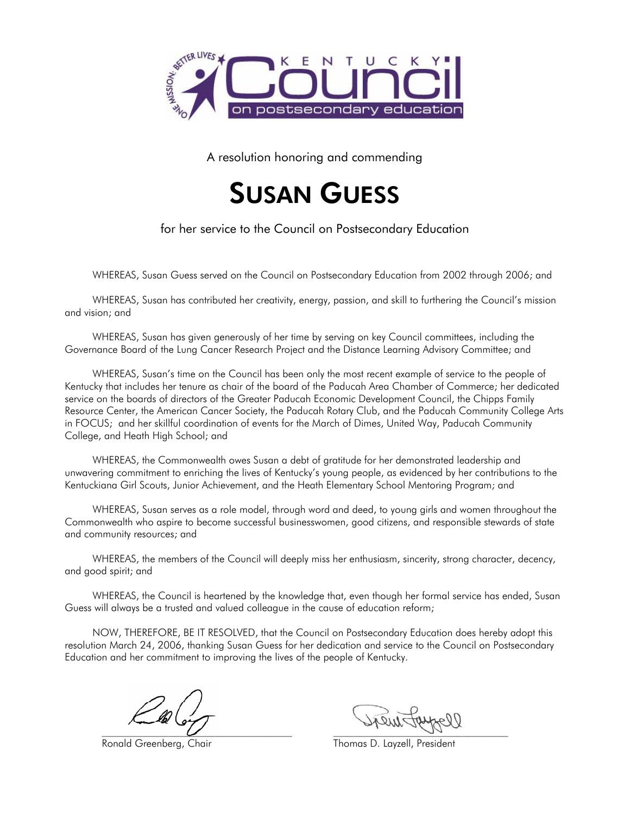

A resolution honoring and commending



for her service to the Council on Postsecondary Education

WHEREAS, Susan Guess served on the Council on Postsecondary Education from 2002 through 2006; and

WHEREAS, Susan has contributed her creativity, energy, passion, and skill to furthering the Council's mission and vision; and

 WHEREAS, Susan has given generously of her time by serving on key Council committees, including the Governance Board of the Lung Cancer Research Project and the Distance Learning Advisory Committee; and

WHEREAS, Susan's time on the Council has been only the most recent example of service to the people of Kentucky that includes her tenure as chair of the board of the Paducah Area Chamber of Commerce; her dedicated service on the boards of directors of the Greater Paducah Economic Development Council, the Chipps Family Resource Center, the American Cancer Society, the Paducah Rotary Club, and the Paducah Community College Arts in FOCUS; and her skillful coordination of events for the March of Dimes, United Way, Paducah Community College, and Heath High School; and

WHEREAS, the Commonwealth owes Susan a debt of gratitude for her demonstrated leadership and unwavering commitment to enriching the lives of Kentucky's young people, as evidenced by her contributions to the Kentuckiana Girl Scouts, Junior Achievement, and the Heath Elementary School Mentoring Program; and

WHEREAS, Susan serves as a role model, through word and deed, to young girls and women throughout the Commonwealth who aspire to become successful businesswomen, good citizens, and responsible stewards of state and community resources; and

WHEREAS, the members of the Council will deeply miss her enthusiasm, sincerity, strong character, decency, and good spirit; and

WHEREAS, the Council is heartened by the knowledge that, even though her formal service has ended, Susan Guess will always be a trusted and valued colleague in the cause of education reform;

NOW, THEREFORE, BE IT RESOLVED, that the Council on Postsecondary Education does hereby adopt this resolution March 24, 2006, thanking Susan Guess for her dedication and service to the Council on Postsecondary Education and her commitment to improving the lives of the people of Kentucky.

 $\omega$  , and  $\omega$ 

Ronald Greenberg, Chair Thomas D. Layzell, President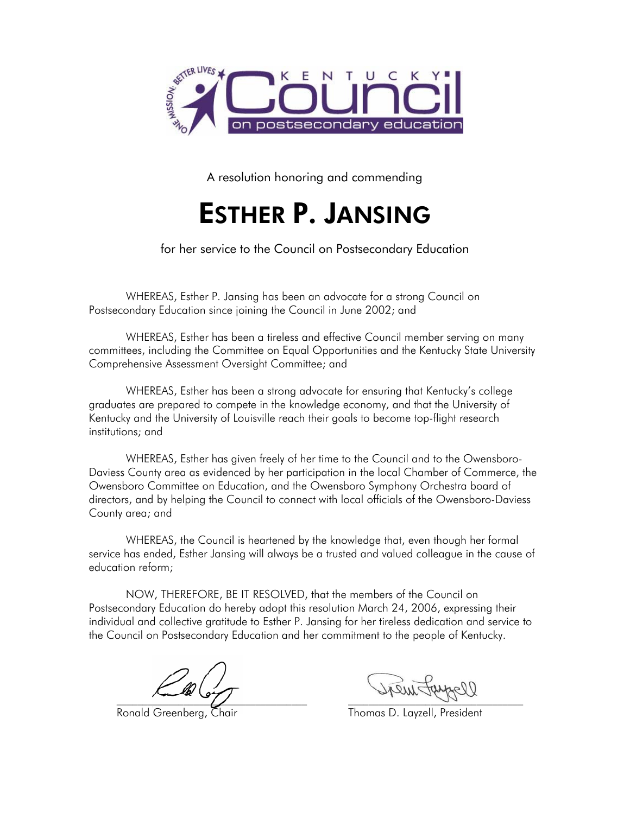

A resolution honoring and commending

# ESTHER P. JANSING

for her service to the Council on Postsecondary Education

WHEREAS, Esther P. Jansing has been an advocate for a strong Council on Postsecondary Education since joining the Council in June 2002; and

WHEREAS, Esther has been a tireless and effective Council member serving on many committees, including the Committee on Equal Opportunities and the Kentucky State University Comprehensive Assessment Oversight Committee; and

WHEREAS, Esther has been a strong advocate for ensuring that Kentucky's college graduates are prepared to compete in the knowledge economy, and that the University of Kentucky and the University of Louisville reach their goals to become top-flight research institutions; and

WHEREAS, Esther has given freely of her time to the Council and to the Owensboro-Daviess County area as evidenced by her participation in the local Chamber of Commerce, the Owensboro Committee on Education, and the Owensboro Symphony Orchestra board of directors, and by helping the Council to connect with local officials of the Owensboro-Daviess County area; and

WHEREAS, the Council is heartened by the knowledge that, even though her formal service has ended, Esther Jansing will always be a trusted and valued colleague in the cause of education reform;

NOW, THEREFORE, BE IT RESOLVED, that the members of the Council on Postsecondary Education do hereby adopt this resolution March 24, 2006, expressing their individual and collective gratitude to Esther P. Jansing for her tireless dedication and service to the Council on Postsecondary Education and her commitment to the people of Kentucky.

 $\frac{1}{2}$ 

Ronald Greenberg, Chair Thomas D. Layzell, President